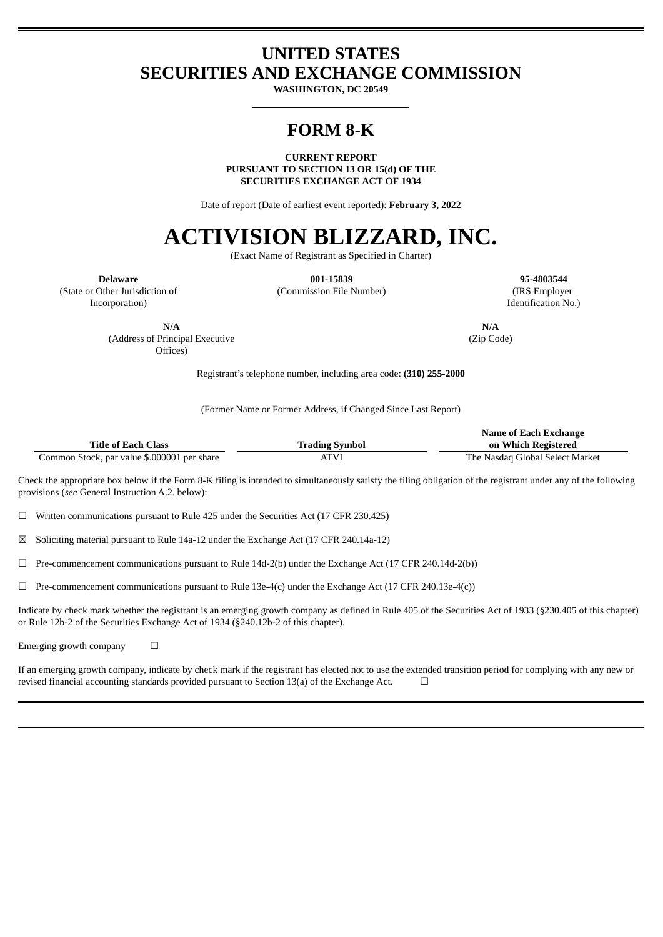# **UNITED STATES SECURITIES AND EXCHANGE COMMISSION**

**WASHINGTON, DC 20549**

# **FORM 8-K**

**CURRENT REPORT PURSUANT TO SECTION 13 OR 15(d) OF THE SECURITIES EXCHANGE ACT OF 1934**

Date of report (Date of earliest event reported): **February 3, 2022**

# **ACTIVISION BLIZZARD, INC.**

(Exact Name of Registrant as Specified in Charter)

(Commission File Number) (IRS Employer

**Delaware 001-15839 95-4803544** Identification No.)

(State or Other Jurisdiction of Incorporation)

(Address of Principal Executive

Offices)

**N/A N/A** (Zip Code)

Registrant's telephone number, including area code: **(310) 255-2000**

(Former Name or Former Address, if Changed Since Last Report)

|                                             |                       | Name of Each Exchange           |
|---------------------------------------------|-----------------------|---------------------------------|
| <b>Title of Each Class</b>                  | <b>Trading Symbol</b> | on Which Registered             |
| Common Stock, par value \$.000001 per share | ATVI                  | The Nasdag Global Select Market |

Check the appropriate box below if the Form 8-K filing is intended to simultaneously satisfy the filing obligation of the registrant under any of the following provisions (*see* General Instruction A.2. below):

☐ Written communications pursuant to Rule 425 under the Securities Act (17 CFR 230.425)

☒ Soliciting material pursuant to Rule 14a-12 under the Exchange Act (17 CFR 240.14a-12)

 $\Box$  Pre-commencement communications pursuant to Rule 14d-2(b) under the Exchange Act (17 CFR 240.14d-2(b))

 $\Box$  Pre-commencement communications pursuant to Rule 13e-4(c) under the Exchange Act (17 CFR 240.13e-4(c))

Indicate by check mark whether the registrant is an emerging growth company as defined in Rule 405 of the Securities Act of 1933 (§230.405 of this chapter) or Rule 12b-2 of the Securities Exchange Act of 1934 (§240.12b-2 of this chapter).

Emerging growth company  $\Box$ 

If an emerging growth company, indicate by check mark if the registrant has elected not to use the extended transition period for complying with any new or revised financial accounting standards provided pursuant to Section 13(a) of the Exchange Act.  $\Box$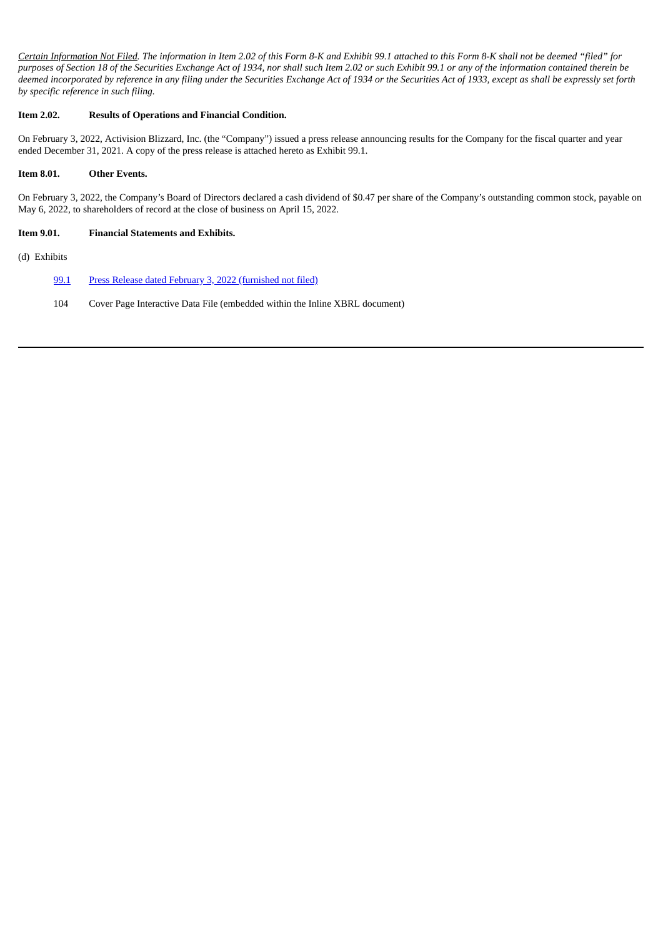Certain Information Not Filed. The information in Item 2.02 of this Form 8-K and Exhibit 99.1 attached to this Form 8-K shall not be deemed "filed" for purposes of Section 18 of the Securities Exchange Act of 1934, nor shall such Item 2.02 or such Exhibit 99.1 or any of the information contained therein be deemed incorporated by reference in any filing under the Securities Exchange Act of 1934 or the Securities Act of 1933, except as shall be expressly set forth *by specific reference in such filing.*

# **Item 2.02. Results of Operations and Financial Condition.**

On February 3, 2022, Activision Blizzard, Inc. (the "Company") issued a press release announcing results for the Company for the fiscal quarter and year ended December 31, 2021. A copy of the press release is attached hereto as Exhibit 99.1.

# **Item 8.01. Other Events.**

On February 3, 2022, the Company's Board of Directors declared a cash dividend of \$0.47 per share of the Company's outstanding common stock, payable on May 6, 2022, to shareholders of record at the close of business on April 15, 2022.

#### **Item 9.01. Financial Statements and Exhibits.**

(d) Exhibits

- [99.1](#page-3-0) Press Release dated February 3, 2022 [\(furnished](#page-3-0) not filed)
- 104 Cover Page Interactive Data File (embedded within the Inline XBRL document)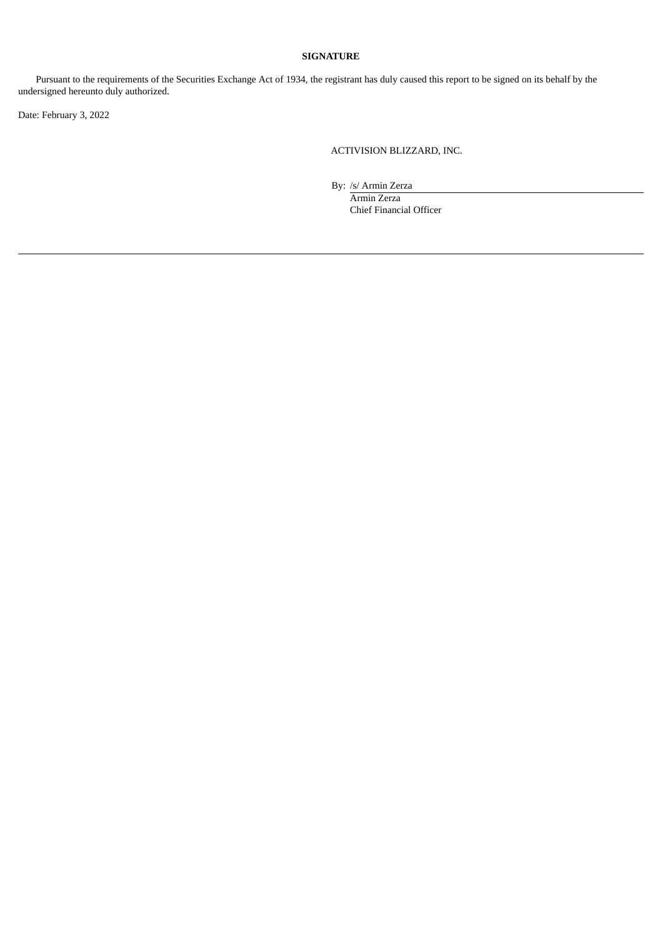# **SIGNATURE**

Pursuant to the requirements of the Securities Exchange Act of 1934, the registrant has duly caused this report to be signed on its behalf by the undersigned hereunto duly authorized.

Date: February 3, 2022

ACTIVISION BLIZZARD, INC.

By: /s/ Armin Zerza

Armin Zerza Chief Financial Officer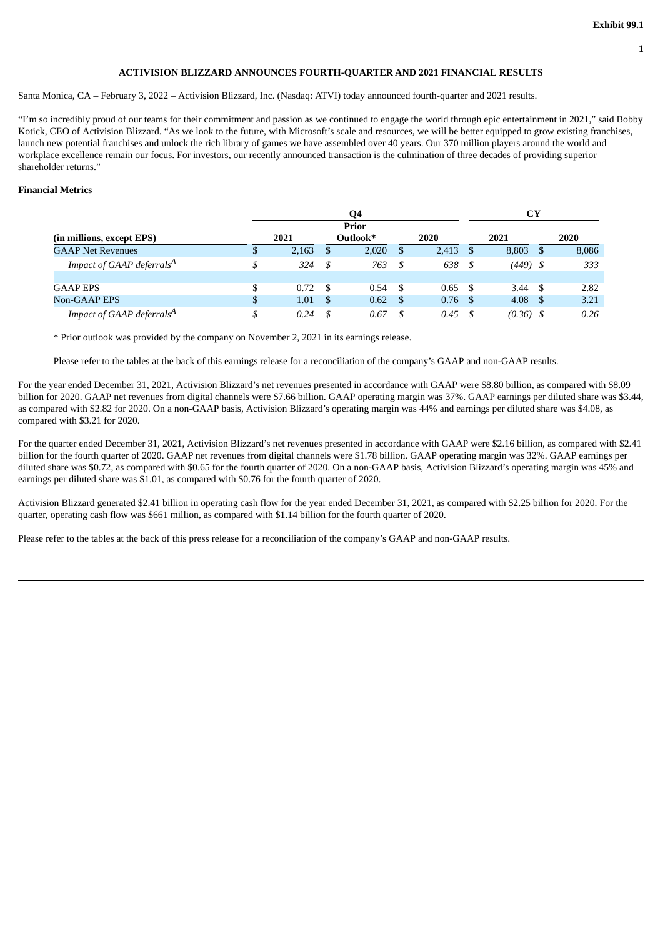#### **ACTIVISION BLIZZARD ANNOUNCES FOURTH-QUARTER AND 2021 FINANCIAL RESULTS**

<span id="page-3-0"></span>Santa Monica, CA – February 3, 2022 – Activision Blizzard, Inc. (Nasdaq: ATVI) today announced fourth-quarter and 2021 results.

"I'm so incredibly proud of our teams for their commitment and passion as we continued to engage the world through epic entertainment in 2021," said Bobby Kotick, CEO of Activision Blizzard. "As we look to the future, with Microsoft's scale and resources, we will be better equipped to grow existing franchises, launch new potential franchises and unlock the rich library of games we have assembled over 40 years. Our 370 million players around the world and workplace excellence remain our focus. For investors, our recently announced transaction is the culmination of three decades of providing superior shareholder returns."

# **Financial Metrics**

|                                       |    |       |          | Ο4       |      |       |      | СY          |      |       |
|---------------------------------------|----|-------|----------|----------|------|-------|------|-------------|------|-------|
|                                       |    |       |          | Prior    |      |       |      |             |      |       |
| (in millions, except EPS)             |    | 2021  |          | Outlook* |      | 2020  |      | 2021        |      | 2020  |
| <b>GAAP Net Revenues</b>              | D  | 2.163 |          | 2,020    |      | 2,413 |      | 8,803       |      | 8,086 |
| Impact of GAAP deferrals <sup>A</sup> | \$ | 324   | - \$     | 763      | - S  | 638   | .8   | $(449)$ \$  |      | 333   |
|                                       |    |       |          |          |      |       |      |             |      |       |
| <b>GAAP EPS</b>                       | \$ | 0.72  | - \$     | 0.54     | - S  | 0.65  | -SS  | 3.44        | - \$ | 2.82  |
| <b>Non-GAAP EPS</b>                   | \$ | 1.01  | <b>S</b> | 0.62     | - \$ | 0.76  | - \$ | 4.08        | - \$ | 3.21  |
| Impact of GAAP deferrals <sup>A</sup> |    | 0.24  | - \$     | 0.67     | S    | 0.45  |      | $(0.36)$ \$ |      | 0.26  |

\* Prior outlook was provided by the company on November 2, 2021 in its earnings release.

Please refer to the tables at the back of this earnings release for a reconciliation of the company's GAAP and non-GAAP results.

For the year ended December 31, 2021, Activision Blizzard's net revenues presented in accordance with GAAP were \$8.80 billion, as compared with \$8.09 billion for 2020. GAAP net revenues from digital channels were \$7.66 billion. GAAP operating margin was 37%. GAAP earnings per diluted share was \$3.44, as compared with \$2.82 for 2020. On a non-GAAP basis, Activision Blizzard's operating margin was 44% and earnings per diluted share was \$4.08, as compared with \$3.21 for 2020.

For the quarter ended December 31, 2021, Activision Blizzard's net revenues presented in accordance with GAAP were \$2.16 billion, as compared with \$2.41 billion for the fourth quarter of 2020. GAAP net revenues from digital channels were \$1.78 billion. GAAP operating margin was 32%. GAAP earnings per diluted share was \$0.72, as compared with \$0.65 for the fourth quarter of 2020. On a non-GAAP basis, Activision Blizzard's operating margin was 45% and earnings per diluted share was \$1.01, as compared with \$0.76 for the fourth quarter of 2020.

Activision Blizzard generated \$2.41 billion in operating cash flow for the year ended December 31, 2021, as compared with \$2.25 billion for 2020. For the quarter, operating cash flow was \$661 million, as compared with \$1.14 billion for the fourth quarter of 2020.

Please refer to the tables at the back of this press release for a reconciliation of the company's GAAP and non-GAAP results.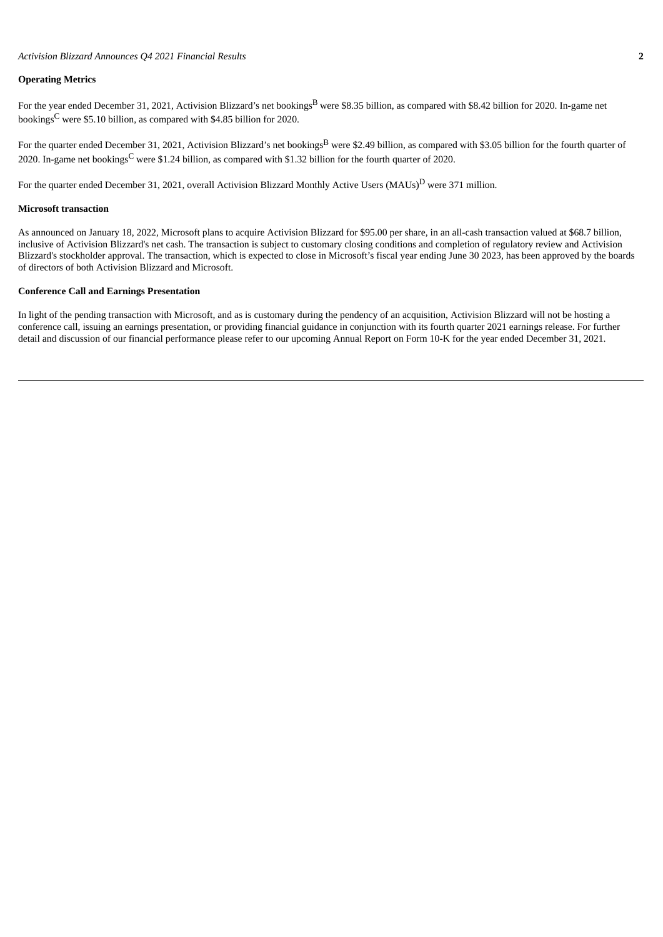# **Operating Metrics**

For the year ended December 31, 2021, Activision Blizzard's net bookings<sup>B</sup> were \$8.35 billion, as compared with \$8.42 billion for 2020. In-game net bookings<sup>C</sup> were \$5.10 billion, as compared with \$4.85 billion for 2020.

For the quarter ended December 31, 2021, Activision Blizzard's net bookings<sup>B</sup> were \$2.49 billion, as compared with \$3.05 billion for the fourth quarter of 2020. In-game net bookings<sup>C</sup> were \$1.24 billion, as compared with \$1.32 billion for the fourth quarter of 2020.

For the quarter ended December 31, 2021, overall Activision Blizzard Monthly Active Users (MAUs)<sup>D</sup> were 371 million.

#### **Microsoft transaction**

As announced on January 18, 2022, Microsoft plans to acquire Activision Blizzard for \$95.00 per share, in an all-cash transaction valued at \$68.7 billion, inclusive of Activision Blizzard's net cash. The transaction is subject to customary closing conditions and completion of regulatory review and Activision Blizzard's stockholder approval. The transaction, which is expected to close in Microsoft's fiscal year ending June 30 2023, has been approved by the boards of directors of both Activision Blizzard and Microsoft.

### **Conference Call and Earnings Presentation**

In light of the pending transaction with Microsoft, and as is customary during the pendency of an acquisition, Activision Blizzard will not be hosting a conference call, issuing an earnings presentation, or providing financial guidance in conjunction with its fourth quarter 2021 earnings release. For further detail and discussion of our financial performance please refer to our upcoming Annual Report on Form 10-K for the year ended December 31, 2021.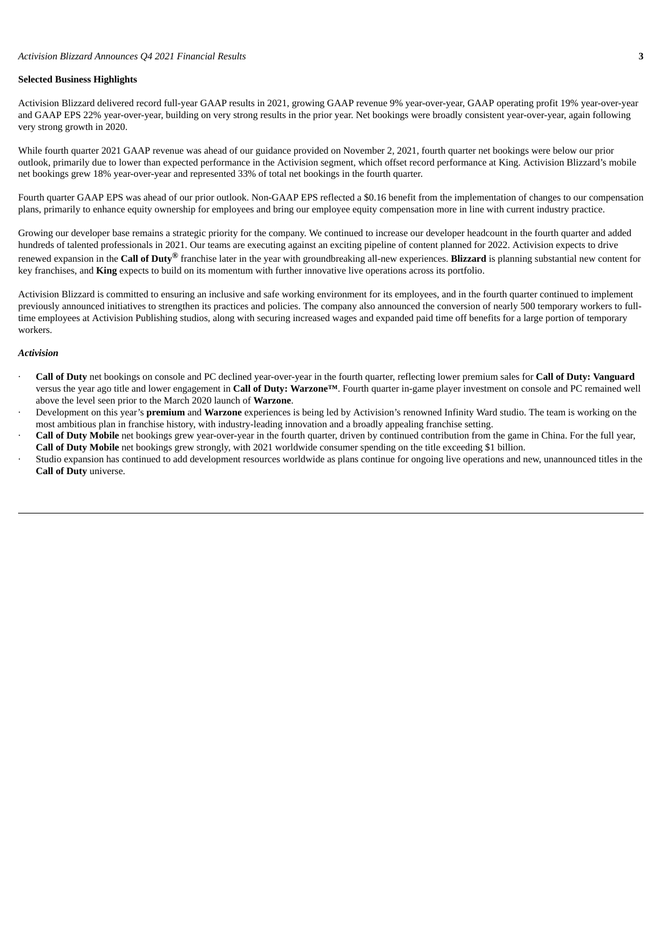# **Selected Business Highlights**

Activision Blizzard delivered record full-year GAAP results in 2021, growing GAAP revenue 9% year-over-year, GAAP operating profit 19% year-over-year and GAAP EPS 22% year-over-year, building on very strong results in the prior year. Net bookings were broadly consistent year-over-year, again following very strong growth in 2020.

While fourth quarter 2021 GAAP revenue was ahead of our guidance provided on November 2, 2021, fourth quarter net bookings were below our prior outlook, primarily due to lower than expected performance in the Activision segment, which offset record performance at King. Activision Blizzard's mobile net bookings grew 18% year-over-year and represented 33% of total net bookings in the fourth quarter.

Fourth quarter GAAP EPS was ahead of our prior outlook. Non-GAAP EPS reflected a \$0.16 benefit from the implementation of changes to our compensation plans, primarily to enhance equity ownership for employees and bring our employee equity compensation more in line with current industry practice.

Growing our developer base remains a strategic priority for the company. We continued to increase our developer headcount in the fourth quarter and added hundreds of talented professionals in 2021. Our teams are executing against an exciting pipeline of content planned for 2022. Activision expects to drive renewed expansion in the **Call of Duty®** franchise later in the year with groundbreaking all-new experiences. **Blizzard** is planning substantial new content for key franchises, and **King** expects to build on its momentum with further innovative live operations across its portfolio.

Activision Blizzard is committed to ensuring an inclusive and safe working environment for its employees, and in the fourth quarter continued to implement previously announced initiatives to strengthen its practices and policies. The company also announced the conversion of nearly 500 temporary workers to fulltime employees at Activision Publishing studios, along with securing increased wages and expanded paid time off benefits for a large portion of temporary workers.

#### *Activision*

- · **Call of Duty** net bookings on console and PC declined year-over-year in the fourth quarter, reflecting lower premium sales for **Call of Duty: Vanguard** versus the year ago title and lower engagement in **Call of Duty: Warzone™**. Fourth quarter in-game player investment on console and PC remained well above the level seen prior to the March 2020 launch of **Warzone**.
- · Development on this year's **premium** and **Warzone** experiences is being led by Activision's renowned Infinity Ward studio. The team is working on the most ambitious plan in franchise history, with industry-leading innovation and a broadly appealing franchise setting.
- · **Call of Duty Mobile** net bookings grew year-over-year in the fourth quarter, driven by continued contribution from the game in China. For the full year, **Call of Duty Mobile** net bookings grew strongly, with 2021 worldwide consumer spending on the title exceeding \$1 billion.
- · Studio expansion has continued to add development resources worldwide as plans continue for ongoing live operations and new, unannounced titles in the **Call of Duty** universe.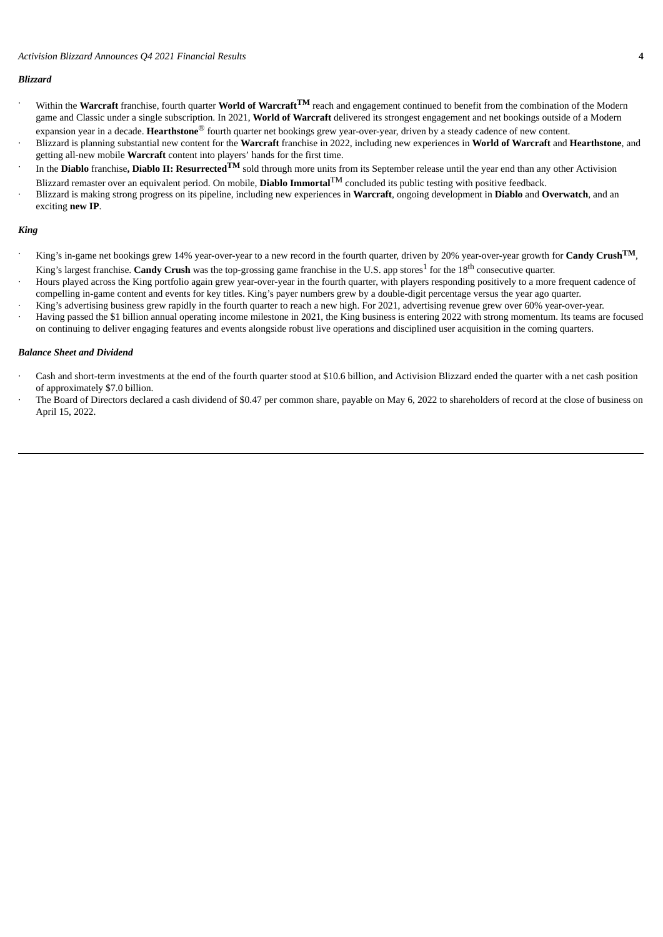# *Blizzard*

- · Within the **Warcraft** franchise, fourth quarter **World of WarcraftTM** reach and engagement continued to benefit from the combination of the Modern game and Classic under a single subscription. In 2021, **World of Warcraft** delivered its strongest engagement and net bookings outside of a Modern expansion year in a decade. **Hearthstone**® fourth quarter net bookings grew year-over-year, driven by a steady cadence of new content.
- · Blizzard is planning substantial new content for the **Warcraft** franchise in 2022, including new experiences in **World of Warcraft** and **Hearthstone**, and getting all-new mobile **Warcraft** content into players' hands for the first time.
- · In the **Diablo** franchise**, Diablo II: Resurrected TM** sold through more units from its September release until the year end than any other Activision Blizzard remaster over an equivalent period. On mobile, **Diablo Immortal**TM concluded its public testing with positive feedback.
- · Blizzard is making strong progress on its pipeline, including new experiences in **Warcraft**, ongoing development in **Diablo** and **Overwatch**, and an exciting **new IP**.

#### *King*

- · King's in-game net bookings grew 14% year-over-year to a new record in the fourth quarter, driven by 20% year-over-year growth for **Candy Crush TM**, King's largest franchise. **Candy Crush** was the top-grossing game franchise in the U.S. app stores<sup>1</sup> for the 18<sup>th</sup> consecutive quarter.
- Hours played across the King portfolio again grew year-over-year in the fourth quarter, with players responding positively to a more frequent cadence of compelling in-game content and events for key titles. King's payer numbers grew by a double-digit percentage versus the year ago quarter.
- · King's advertising business grew rapidly in the fourth quarter to reach a new high. For 2021, advertising revenue grew over 60% year-over-year.
- · Having passed the \$1 billion annual operating income milestone in 2021, the King business is entering 2022 with strong momentum. Its teams are focused on continuing to deliver engaging features and events alongside robust live operations and disciplined user acquisition in the coming quarters.

#### *Balance Sheet and Dividend*

- · Cash and short-term investments at the end of the fourth quarter stood at \$10.6 billion, and Activision Blizzard ended the quarter with a net cash position of approximately \$7.0 billion.
- The Board of Directors declared a cash dividend of \$0.47 per common share, payable on May 6, 2022 to shareholders of record at the close of business on April 15, 2022.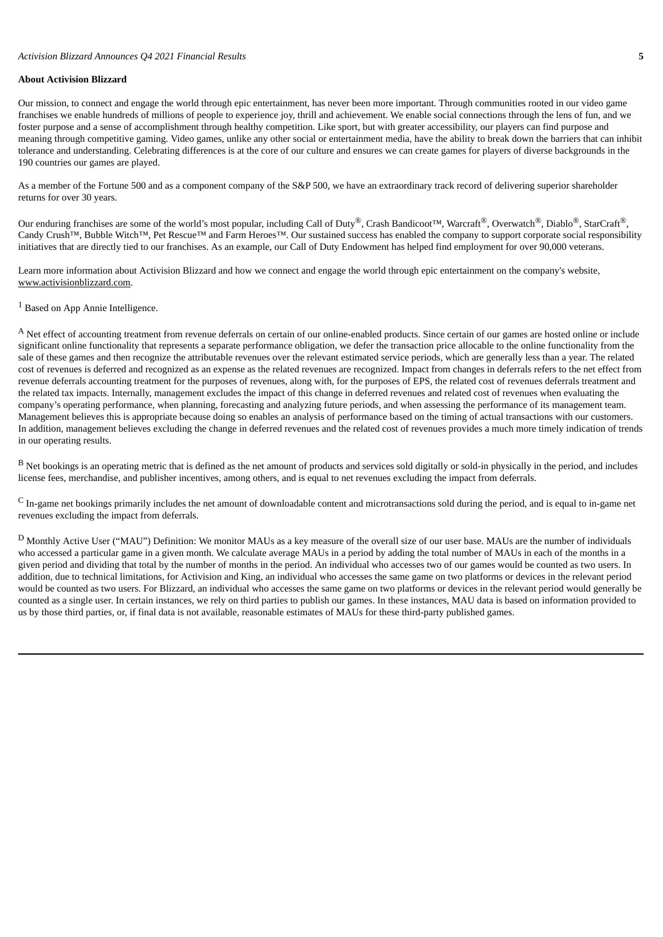## **About Activision Blizzard**

Our mission, to connect and engage the world through epic entertainment, has never been more important. Through communities rooted in our video game franchises we enable hundreds of millions of people to experience joy, thrill and achievement. We enable social connections through the lens of fun, and we foster purpose and a sense of accomplishment through healthy competition. Like sport, but with greater accessibility, our players can find purpose and meaning through competitive gaming. Video games, unlike any other social or entertainment media, have the ability to break down the barriers that can inhibit tolerance and understanding. Celebrating differences is at the core of our culture and ensures we can create games for players of diverse backgrounds in the 190 countries our games are played.

As a member of the Fortune 500 and as a component company of the S&P 500, we have an extraordinary track record of delivering superior shareholder returns for over 30 years.

Our enduring franchises are some of the world's most popular, including Call of Duty®, Crash Bandicoot™, Warcraft®, Overwatch®, Diablo®, StarCraft®, Candy Crush™, Bubble Witch™, Pet Rescue™ and Farm Heroes™. Our sustained success has enabled the company to support corporate social responsibility initiatives that are directly tied to our franchises. As an example, our Call of Duty Endowment has helped find employment for over 90,000 veterans.

Learn more information about Activision Blizzard and how we connect and engage the world through epic entertainment on the company's website, www.activisionblizzard.com.

#### <sup>1</sup> Based on App Annie Intelligence.

<sup>A</sup> Net effect of accounting treatment from revenue deferrals on certain of our online-enabled products. Since certain of our games are hosted online or include significant online functionality that represents a separate performance obligation, we defer the transaction price allocable to the online functionality from the sale of these games and then recognize the attributable revenues over the relevant estimated service periods, which are generally less than a year. The related cost of revenues is deferred and recognized as an expense as the related revenues are recognized. Impact from changes in deferrals refers to the net effect from revenue deferrals accounting treatment for the purposes of revenues, along with, for the purposes of EPS, the related cost of revenues deferrals treatment and the related tax impacts. Internally, management excludes the impact of this change in deferred revenues and related cost of revenues when evaluating the company's operating performance, when planning, forecasting and analyzing future periods, and when assessing the performance of its management team. Management believes this is appropriate because doing so enables an analysis of performance based on the timing of actual transactions with our customers. In addition, management believes excluding the change in deferred revenues and the related cost of revenues provides a much more timely indication of trends in our operating results.

B Net bookings is an operating metric that is defined as the net amount of products and services sold digitally or sold-in physically in the period, and includes license fees, merchandise, and publisher incentives, among others, and is equal to net revenues excluding the impact from deferrals.

<sup>C</sup> In-game net bookings primarily includes the net amount of downloadable content and microtransactions sold during the period, and is equal to in-game net revenues excluding the impact from deferrals.

<sup>D</sup> Monthly Active User ("MAU") Definition: We monitor MAUs as a key measure of the overall size of our user base. MAUs are the number of individuals who accessed a particular game in a given month. We calculate average MAUs in a period by adding the total number of MAUs in each of the months in a given period and dividing that total by the number of months in the period. An individual who accesses two of our games would be counted as two users. In addition, due to technical limitations, for Activision and King, an individual who accesses the same game on two platforms or devices in the relevant period would be counted as two users. For Blizzard, an individual who accesses the same game on two platforms or devices in the relevant period would generally be counted as a single user. In certain instances, we rely on third parties to publish our games. In these instances, MAU data is based on information provided to us by those third parties, or, if final data is not available, reasonable estimates of MAUs for these third-party published games.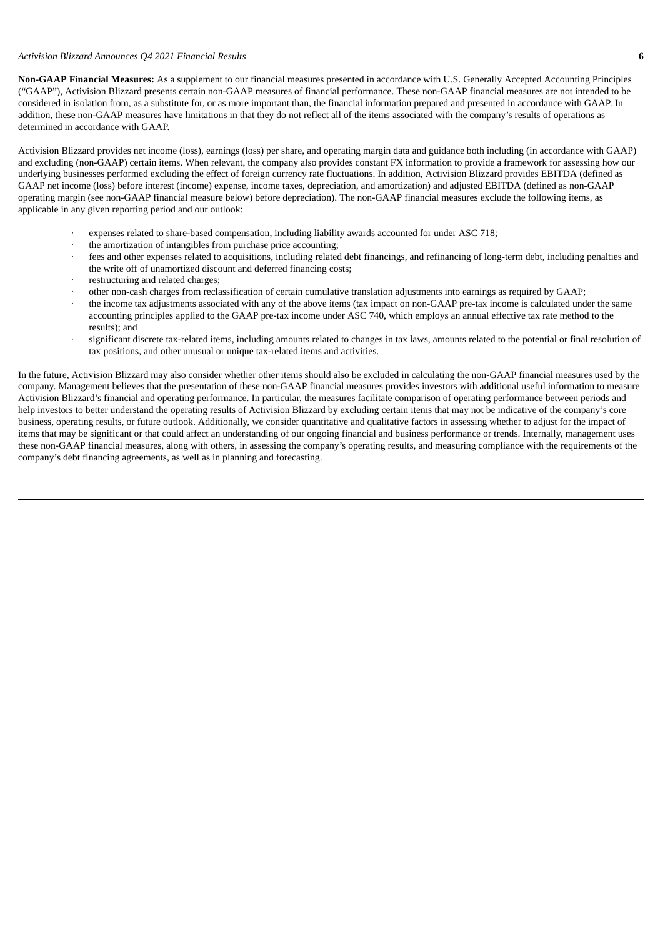**Non-GAAP Financial Measures:** As a supplement to our financial measures presented in accordance with U.S. Generally Accepted Accounting Principles ("GAAP"), Activision Blizzard presents certain non-GAAP measures of financial performance. These non-GAAP financial measures are not intended to be considered in isolation from, as a substitute for, or as more important than, the financial information prepared and presented in accordance with GAAP. In addition, these non-GAAP measures have limitations in that they do not reflect all of the items associated with the company's results of operations as determined in accordance with GAAP.

Activision Blizzard provides net income (loss), earnings (loss) per share, and operating margin data and guidance both including (in accordance with GAAP) and excluding (non-GAAP) certain items. When relevant, the company also provides constant FX information to provide a framework for assessing how our underlying businesses performed excluding the effect of foreign currency rate fluctuations. In addition, Activision Blizzard provides EBITDA (defined as GAAP net income (loss) before interest (income) expense, income taxes, depreciation, and amortization) and adjusted EBITDA (defined as non-GAAP operating margin (see non-GAAP financial measure below) before depreciation). The non-GAAP financial measures exclude the following items, as applicable in any given reporting period and our outlook:

- expenses related to share-based compensation, including liability awards accounted for under ASC 718;
- · the amortization of intangibles from purchase price accounting;
- fees and other expenses related to acquisitions, including related debt financings, and refinancing of long-term debt, including penalties and the write off of unamortized discount and deferred financing costs;
- · restructuring and related charges;
- · other non-cash charges from reclassification of certain cumulative translation adjustments into earnings as required by GAAP;
- the income tax adjustments associated with any of the above items (tax impact on non-GAAP pre-tax income is calculated under the same accounting principles applied to the GAAP pre-tax income under ASC 740, which employs an annual effective tax rate method to the results); and
- significant discrete tax-related items, including amounts related to changes in tax laws, amounts related to the potential or final resolution of tax positions, and other unusual or unique tax-related items and activities.

In the future, Activision Blizzard may also consider whether other items should also be excluded in calculating the non-GAAP financial measures used by the company. Management believes that the presentation of these non-GAAP financial measures provides investors with additional useful information to measure Activision Blizzard's financial and operating performance. In particular, the measures facilitate comparison of operating performance between periods and help investors to better understand the operating results of Activision Blizzard by excluding certain items that may not be indicative of the company's core business, operating results, or future outlook. Additionally, we consider quantitative and qualitative factors in assessing whether to adjust for the impact of items that may be significant or that could affect an understanding of our ongoing financial and business performance or trends. Internally, management uses these non-GAAP financial measures, along with others, in assessing the company's operating results, and measuring compliance with the requirements of the company's debt financing agreements, as well as in planning and forecasting.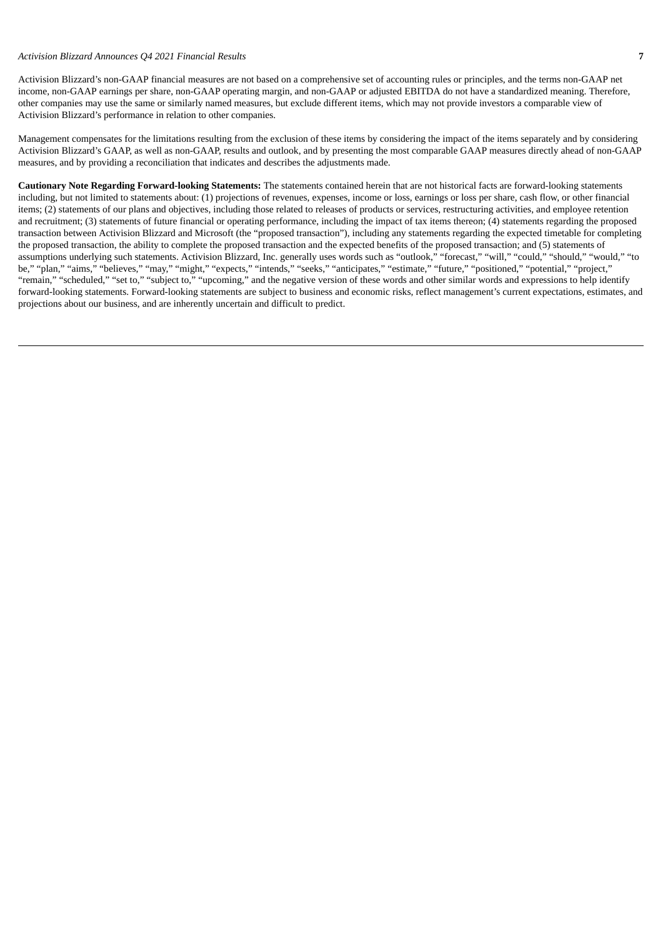Activision Blizzard's non-GAAP financial measures are not based on a comprehensive set of accounting rules or principles, and the terms non-GAAP net income, non-GAAP earnings per share, non-GAAP operating margin, and non-GAAP or adjusted EBITDA do not have a standardized meaning. Therefore, other companies may use the same or similarly named measures, but exclude different items, which may not provide investors a comparable view of Activision Blizzard's performance in relation to other companies.

Management compensates for the limitations resulting from the exclusion of these items by considering the impact of the items separately and by considering Activision Blizzard's GAAP, as well as non-GAAP, results and outlook, and by presenting the most comparable GAAP measures directly ahead of non-GAAP measures, and by providing a reconciliation that indicates and describes the adjustments made.

**Cautionary Note Regarding Forward-looking Statements:** The statements contained herein that are not historical facts are forward-looking statements including, but not limited to statements about: (1) projections of revenues, expenses, income or loss, earnings or loss per share, cash flow, or other financial items; (2) statements of our plans and objectives, including those related to releases of products or services, restructuring activities, and employee retention and recruitment; (3) statements of future financial or operating performance, including the impact of tax items thereon; (4) statements regarding the proposed transaction between Activision Blizzard and Microsoft (the "proposed transaction"), including any statements regarding the expected timetable for completing the proposed transaction, the ability to complete the proposed transaction and the expected benefits of the proposed transaction; and (5) statements of assumptions underlying such statements. Activision Blizzard, Inc. generally uses words such as "outlook," "forecast," "will," "could," "should," "would," "to be," "plan," "aims," "believes," "may," "might," "expects," "intends," "seeks," "anticipates," "estimate," "future," "positioned," "potential," "project," "remain," "scheduled," "set to," "subject to," "upcoming," and the negative version of these words and other similar words and expressions to help identify forward-looking statements. Forward-looking statements are subject to business and economic risks, reflect management's current expectations, estimates, and projections about our business, and are inherently uncertain and difficult to predict.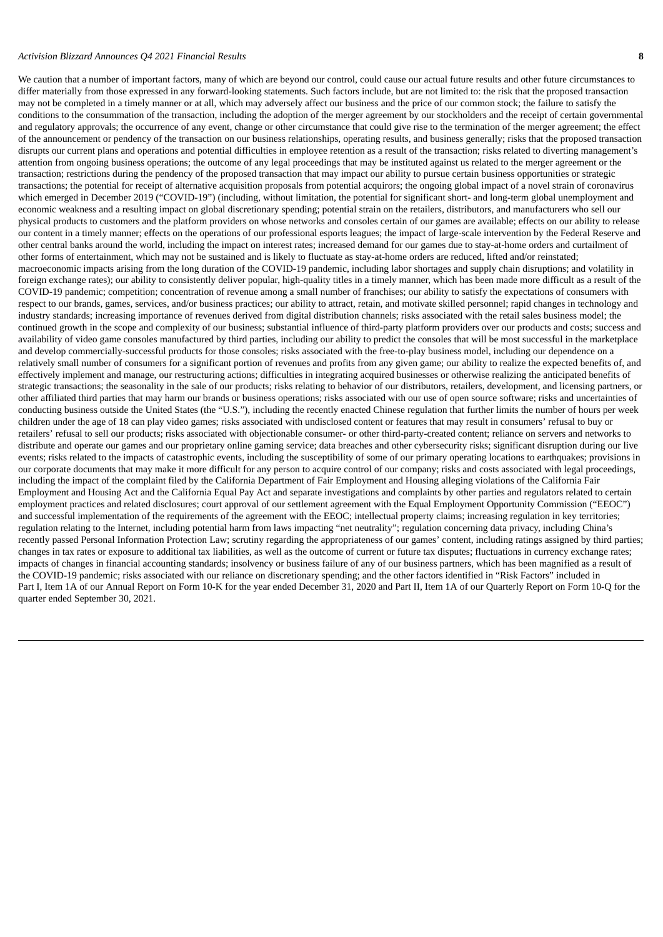We caution that a number of important factors, many of which are beyond our control, could cause our actual future results and other future circumstances to differ materially from those expressed in any forward-looking statements. Such factors include, but are not limited to: the risk that the proposed transaction may not be completed in a timely manner or at all, which may adversely affect our business and the price of our common stock; the failure to satisfy the conditions to the consummation of the transaction, including the adoption of the merger agreement by our stockholders and the receipt of certain governmental and regulatory approvals; the occurrence of any event, change or other circumstance that could give rise to the termination of the merger agreement; the effect of the announcement or pendency of the transaction on our business relationships, operating results, and business generally; risks that the proposed transaction disrupts our current plans and operations and potential difficulties in employee retention as a result of the transaction; risks related to diverting management's attention from ongoing business operations; the outcome of any legal proceedings that may be instituted against us related to the merger agreement or the transaction; restrictions during the pendency of the proposed transaction that may impact our ability to pursue certain business opportunities or strategic transactions; the potential for receipt of alternative acquisition proposals from potential acquirors; the ongoing global impact of a novel strain of coronavirus which emerged in December 2019 ("COVID-19") (including, without limitation, the potential for significant short- and long-term global unemployment and economic weakness and a resulting impact on global discretionary spending; potential strain on the retailers, distributors, and manufacturers who sell our physical products to customers and the platform providers on whose networks and consoles certain of our games are available; effects on our ability to release our content in a timely manner; effects on the operations of our professional esports leagues; the impact of large-scale intervention by the Federal Reserve and other central banks around the world, including the impact on interest rates; increased demand for our games due to stay-at-home orders and curtailment of other forms of entertainment, which may not be sustained and is likely to fluctuate as stay-at-home orders are reduced, lifted and/or reinstated; macroeconomic impacts arising from the long duration of the COVID-19 pandemic, including labor shortages and supply chain disruptions; and volatility in foreign exchange rates); our ability to consistently deliver popular, high-quality titles in a timely manner, which has been made more difficult as a result of the COVID-19 pandemic; competition; concentration of revenue among a small number of franchises; our ability to satisfy the expectations of consumers with respect to our brands, games, services, and/or business practices; our ability to attract, retain, and motivate skilled personnel; rapid changes in technology and industry standards; increasing importance of revenues derived from digital distribution channels; risks associated with the retail sales business model; the continued growth in the scope and complexity of our business; substantial influence of third-party platform providers over our products and costs; success and availability of video game consoles manufactured by third parties, including our ability to predict the consoles that will be most successful in the marketplace and develop commercially-successful products for those consoles; risks associated with the free-to-play business model, including our dependence on a relatively small number of consumers for a significant portion of revenues and profits from any given game; our ability to realize the expected benefits of, and effectively implement and manage, our restructuring actions; difficulties in integrating acquired businesses or otherwise realizing the anticipated benefits of strategic transactions; the seasonality in the sale of our products; risks relating to behavior of our distributors, retailers, development, and licensing partners, or other affiliated third parties that may harm our brands or business operations; risks associated with our use of open source software; risks and uncertainties of conducting business outside the United States (the "U.S."), including the recently enacted Chinese regulation that further limits the number of hours per week children under the age of 18 can play video games; risks associated with undisclosed content or features that may result in consumers' refusal to buy or retailers' refusal to sell our products; risks associated with objectionable consumer- or other third-party-created content; reliance on servers and networks to distribute and operate our games and our proprietary online gaming service; data breaches and other cybersecurity risks; significant disruption during our live events; risks related to the impacts of catastrophic events, including the susceptibility of some of our primary operating locations to earthquakes; provisions in our corporate documents that may make it more difficult for any person to acquire control of our company; risks and costs associated with legal proceedings, including the impact of the complaint filed by the California Department of Fair Employment and Housing alleging violations of the California Fair Employment and Housing Act and the California Equal Pay Act and separate investigations and complaints by other parties and regulators related to certain employment practices and related disclosures; court approval of our settlement agreement with the Equal Employment Opportunity Commission ("EEOC") and successful implementation of the requirements of the agreement with the EEOC; intellectual property claims; increasing regulation in key territories; regulation relating to the Internet, including potential harm from laws impacting "net neutrality"; regulation concerning data privacy, including China's recently passed Personal Information Protection Law; scrutiny regarding the appropriateness of our games' content, including ratings assigned by third parties; changes in tax rates or exposure to additional tax liabilities, as well as the outcome of current or future tax disputes; fluctuations in currency exchange rates; impacts of changes in financial accounting standards; insolvency or business failure of any of our business partners, which has been magnified as a result of the COVID-19 pandemic; risks associated with our reliance on discretionary spending; and the other factors identified in "Risk Factors" included in Part I, Item 1A of our Annual Report on Form 10-K for the year ended December 31, 2020 and Part II, Item 1A of our Quarterly Report on Form 10-Q for the quarter ended September 30, 2021.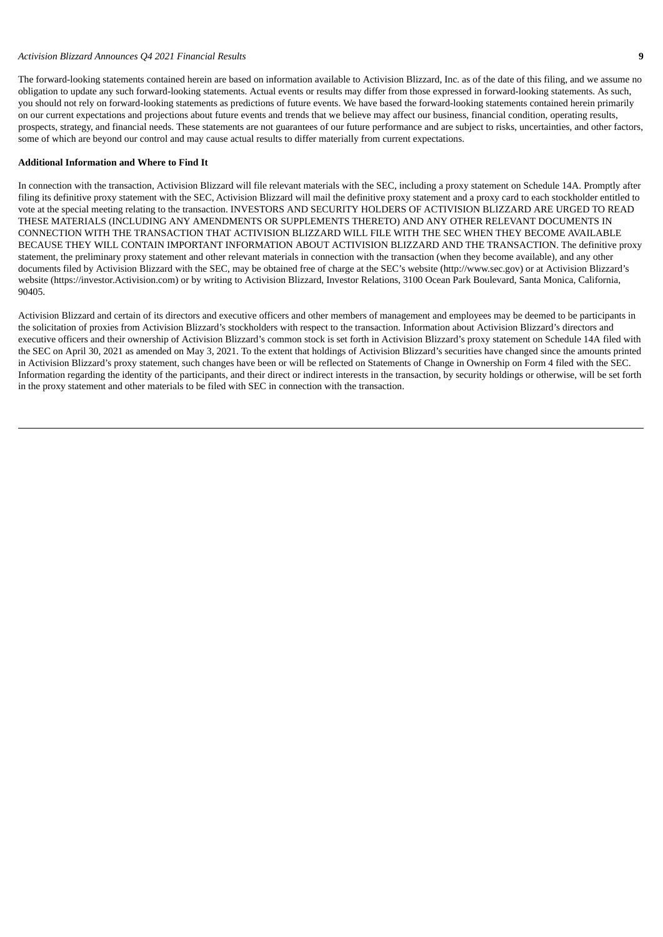The forward-looking statements contained herein are based on information available to Activision Blizzard, Inc. as of the date of this filing, and we assume no obligation to update any such forward-looking statements. Actual events or results may differ from those expressed in forward-looking statements. As such, you should not rely on forward-looking statements as predictions of future events. We have based the forward-looking statements contained herein primarily on our current expectations and projections about future events and trends that we believe may affect our business, financial condition, operating results, prospects, strategy, and financial needs. These statements are not guarantees of our future performance and are subject to risks, uncertainties, and other factors, some of which are beyond our control and may cause actual results to differ materially from current expectations.

#### **Additional Information and Where to Find It**

In connection with the transaction, Activision Blizzard will file relevant materials with the SEC, including a proxy statement on Schedule 14A. Promptly after filing its definitive proxy statement with the SEC, Activision Blizzard will mail the definitive proxy statement and a proxy card to each stockholder entitled to vote at the special meeting relating to the transaction. INVESTORS AND SECURITY HOLDERS OF ACTIVISION BLIZZARD ARE URGED TO READ THESE MATERIALS (INCLUDING ANY AMENDMENTS OR SUPPLEMENTS THERETO) AND ANY OTHER RELEVANT DOCUMENTS IN CONNECTION WITH THE TRANSACTION THAT ACTIVISION BLIZZARD WILL FILE WITH THE SEC WHEN THEY BECOME AVAILABLE BECAUSE THEY WILL CONTAIN IMPORTANT INFORMATION ABOUT ACTIVISION BLIZZARD AND THE TRANSACTION. The definitive proxy statement, the preliminary proxy statement and other relevant materials in connection with the transaction (when they become available), and any other documents filed by Activision Blizzard with the SEC, may be obtained free of charge at the SEC's website (http://www.sec.gov) or at Activision Blizzard's website (https://investor.Activision.com) or by writing to Activision Blizzard, Investor Relations, 3100 Ocean Park Boulevard, Santa Monica, California, 90405.

Activision Blizzard and certain of its directors and executive officers and other members of management and employees may be deemed to be participants in the solicitation of proxies from Activision Blizzard's stockholders with respect to the transaction. Information about Activision Blizzard's directors and executive officers and their ownership of Activision Blizzard's common stock is set forth in Activision Blizzard's proxy statement on Schedule 14A filed with the SEC on April 30, 2021 as amended on May 3, 2021. To the extent that holdings of Activision Blizzard's securities have changed since the amounts printed in Activision Blizzard's proxy statement, such changes have been or will be reflected on Statements of Change in Ownership on Form 4 filed with the SEC. Information regarding the identity of the participants, and their direct or indirect interests in the transaction, by security holdings or otherwise, will be set forth in the proxy statement and other materials to be filed with SEC in connection with the transaction.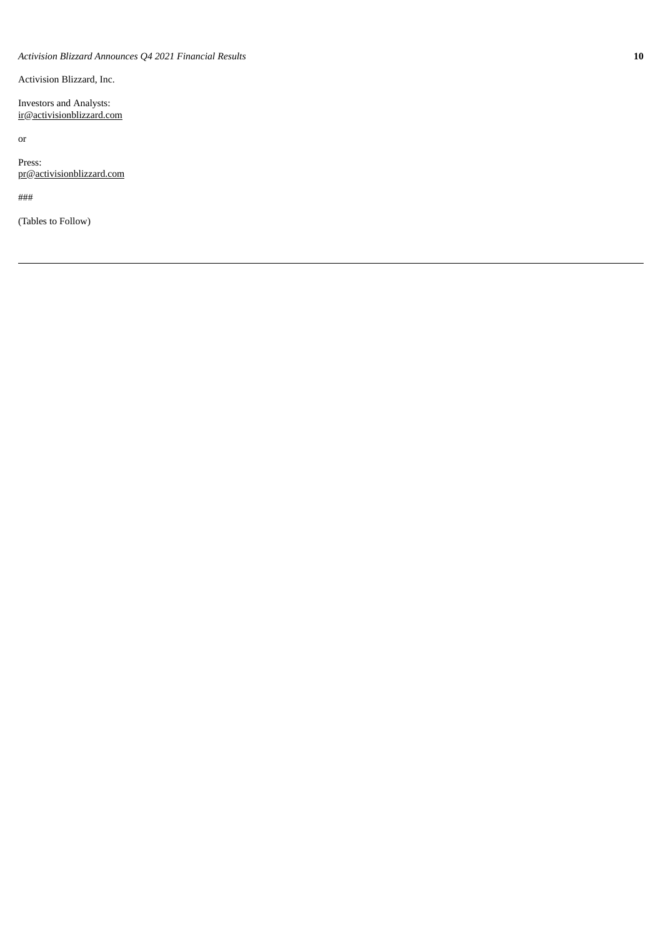Activision Blizzard, Inc.

Investors and Analysts: ir@activisionblizzard.co m

o r

Press: pr@activisionblizzard.com

# # #

(Tables to Follow)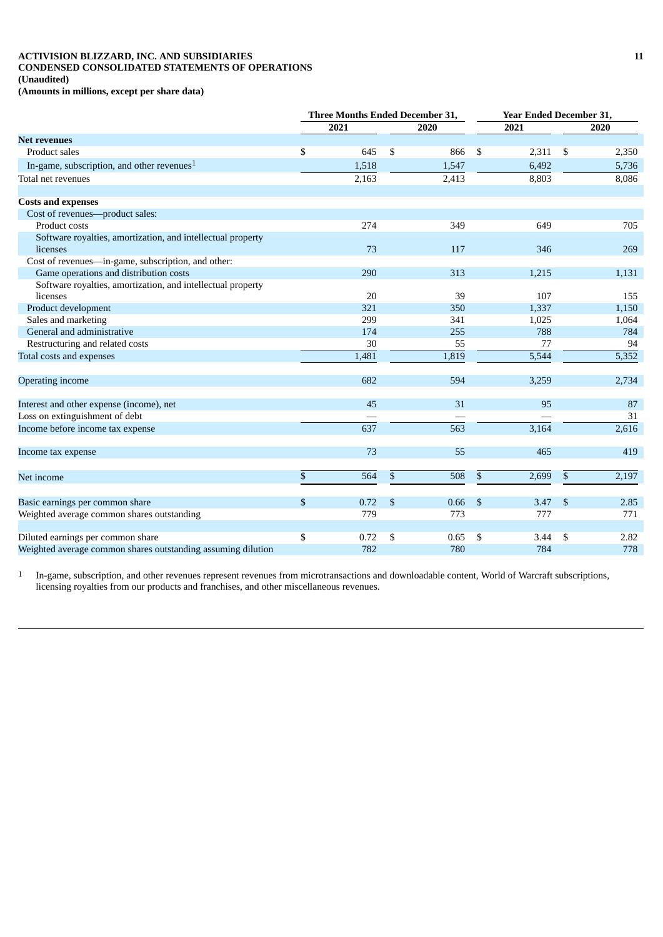# **ACTIVISION BLIZZARD, INC. AND SUBSIDIARIES 11 CONDENSED CONSOLIDATED STATEMENTS OF OPERATIONS (Unaudited)**

**(Amounts in millions, except per share data)**

|                                                                         |                        | <b>Three Months Ended December 31,</b> |                | <b>Year Ended December 31,</b> |     |       |
|-------------------------------------------------------------------------|------------------------|----------------------------------------|----------------|--------------------------------|-----|-------|
|                                                                         | 2021                   | 2020                                   |                | 2021                           |     | 2020  |
| <b>Net revenues</b>                                                     |                        |                                        |                |                                |     |       |
| Product sales                                                           | \$<br>645              | \$<br>866                              | \$             | 2,311                          | -\$ | 2,350 |
| In-game, subscription, and other revenues $1$                           | 1,518                  | 1,547                                  |                | 6,492                          |     | 5,736 |
| Total net revenues                                                      | 2,163                  | 2,413                                  |                | 8,803                          |     | 8,086 |
| <b>Costs and expenses</b>                                               |                        |                                        |                |                                |     |       |
| Cost of revenues-product sales:                                         |                        |                                        |                |                                |     |       |
| Product costs                                                           | 274                    | 349                                    |                | 649                            |     | 705   |
| Software royalties, amortization, and intellectual property             |                        |                                        |                |                                |     |       |
| licenses                                                                | 73                     | 117                                    |                | 346                            |     | 269   |
| Cost of revenues-in-game, subscription, and other:                      |                        |                                        |                |                                |     |       |
| Game operations and distribution costs                                  | 290                    | 313                                    |                | 1,215                          |     | 1,131 |
| Software royalties, amortization, and intellectual property<br>licenses | 20                     | 39                                     |                | 107                            |     | 155   |
| Product development                                                     | 321                    | 350                                    |                | 1,337                          |     | 1,150 |
| Sales and marketing                                                     | 299                    | 341                                    |                | 1,025                          |     | 1,064 |
| General and administrative                                              | 174                    | 255                                    |                | 788                            |     | 784   |
| Restructuring and related costs                                         | 30                     | 55                                     |                | 77                             |     | 94    |
| Total costs and expenses                                                | 1,481                  | 1,819                                  |                | 5,544                          |     | 5,352 |
|                                                                         |                        |                                        |                |                                |     |       |
| Operating income                                                        | 682                    | 594                                    |                | 3,259                          |     | 2,734 |
| Interest and other expense (income), net                                | 45                     | 31                                     |                | 95                             |     | 87    |
| Loss on extinguishment of debt                                          |                        |                                        |                |                                |     | 31    |
| Income before income tax expense                                        | 637                    | 563                                    |                | 3,164                          |     | 2,616 |
| Income tax expense                                                      | 73                     | 55                                     |                | 465                            |     | 419   |
| Net income                                                              | \$<br>$\overline{564}$ | \$<br>$\overline{508}$                 | $\mathfrak{S}$ | 2,699                          | \$  | 2,197 |
| Basic earnings per common share                                         | \$<br>0.72             | \$<br>0.66                             | \$             | 3.47                           | \$  | 2.85  |
| Weighted average common shares outstanding                              | 779                    | 773                                    |                | 777                            |     | 771   |
| Diluted earnings per common share                                       | \$<br>0.72             | \$<br>0.65                             | \$             | 3.44                           | \$  | 2.82  |
| Weighted average common shares outstanding assuming dilution            | 782                    | 780                                    |                | 784                            |     | 778   |

1 In-game, subscription, and other revenues represent revenues from microtransactions and downloadable content, World of Warcraft subscriptions, licensing royalties from our products and franchises, and other miscellaneous revenues.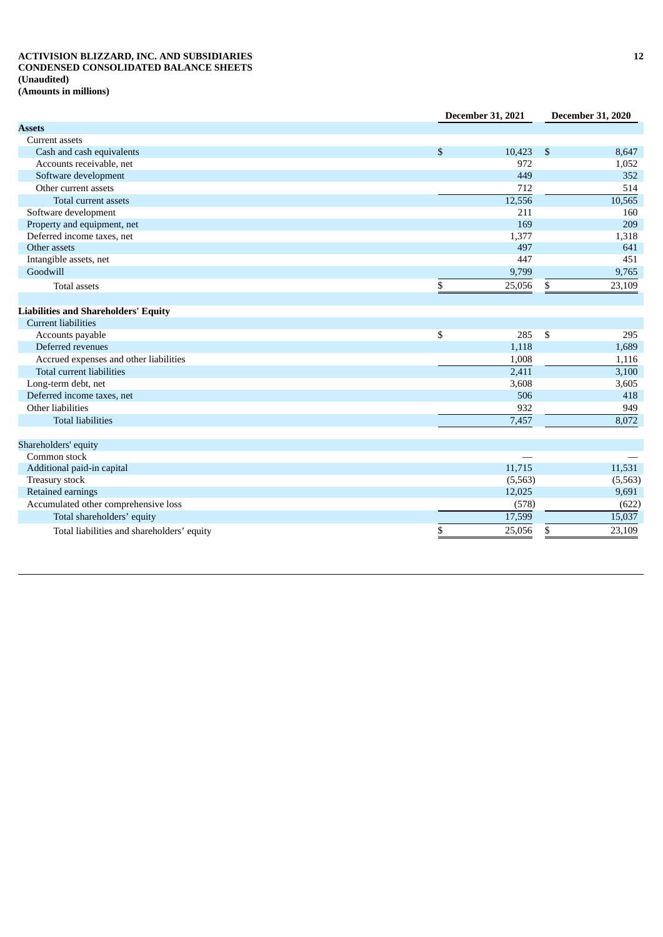# **ACTIVISION BLIZZARD, INC. AND SUBSIDIARIES** CONDENSED CONSOLIDATED BALANCE SHEETS **( U n a u d i t e d )**

(Amounts in millions)

|                                             |                | <b>December 31, 2021</b> | <b>December 31, 2020</b> |
|---------------------------------------------|----------------|--------------------------|--------------------------|
| <b>Assets</b>                               |                |                          |                          |
| <b>Current assets</b>                       |                |                          |                          |
| Cash and cash equivalents                   | $\mathfrak{S}$ | 10,423                   | \$<br>8,647              |
| Accounts receivable, net                    |                | 972                      | 1,052                    |
| Software development                        |                | 449                      | 352                      |
| Other current assets                        |                | 712                      | 514                      |
| Total current assets                        |                | 12,556                   | 10,565                   |
| Software development                        |                | 211                      | 160                      |
| Property and equipment, net                 |                | 169                      | 209                      |
| Deferred income taxes, net                  |                | 1,377                    | 1,318                    |
| Other assets                                |                | 497                      | 641                      |
| Intangible assets, net                      |                | 447                      | 451                      |
| Goodwill                                    |                | 9,799                    | 9,765                    |
| <b>Total assets</b>                         | \$             | 25,056                   | \$<br>23,109             |
| <b>Liabilities and Shareholders' Equity</b> |                |                          |                          |
| Current liabilities                         |                |                          |                          |
| Accounts payable                            | \$             | 285                      | \$<br>295                |
| Deferred revenues                           |                | 1,118                    | 1,689                    |
| Accrued expenses and other liabilities      |                | 1,008                    | 1,116                    |
| Total current liabilities                   |                | 2,411                    | 3,100                    |
| Long-term debt, net                         |                | 3,608                    | 3,605                    |
| Deferred income taxes, net                  |                | 506                      | 418                      |
| Other liabilities                           |                | 932                      | 949                      |
| <b>Total liabilities</b>                    |                | 7,457                    | 8,072                    |
|                                             |                |                          |                          |
| Shareholders' equity                        |                |                          |                          |
| Common stock                                |                |                          |                          |
| Additional paid-in capital                  |                | 11,715                   | 11,531                   |
| Treasury stock                              |                | (5, 563)                 | (5, 563)                 |
| Retained earnings                           |                | 12,025                   | 9,691                    |
| Accumulated other comprehensive loss        |                | (578)                    | (622)                    |
| Total shareholders' equity                  |                | 17,599                   | 15,037                   |
| Total liabilities and shareholders' equity  | \$             | 25,056                   | \$<br>23,109             |
|                                             |                |                          |                          |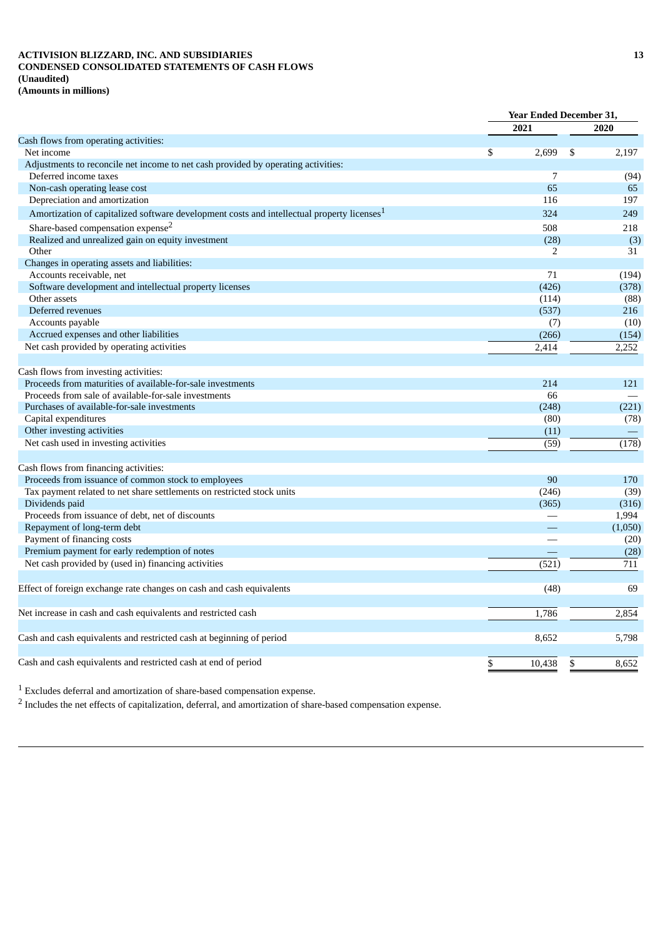# **ACTIVISION BLIZZARD, INC. AND SUBSIDIARIES 13 CONDENSED CONSOLIDATED STATEMENTS OF CASH FLOWS (Unaudited)**

**(Amounts in millions)**

|                                                                                                        | 2021           |             |
|--------------------------------------------------------------------------------------------------------|----------------|-------------|
|                                                                                                        |                | 2020        |
| Cash flows from operating activities:                                                                  |                |             |
| Net income                                                                                             | \$<br>2,699    | \$<br>2,197 |
| Adjustments to reconcile net income to net cash provided by operating activities:                      |                |             |
| Deferred income taxes                                                                                  | 7              | (94)        |
| Non-cash operating lease cost                                                                          | 65             | 65          |
| Depreciation and amortization                                                                          | 116            | 197         |
| Amortization of capitalized software development costs and intellectual property licenses <sup>1</sup> | 324            | 249         |
| Share-based compensation expense <sup>2</sup>                                                          | 508            | 218         |
| Realized and unrealized gain on equity investment                                                      | (28)           | (3)         |
| Other                                                                                                  | $\overline{2}$ | 31          |
| Changes in operating assets and liabilities:                                                           |                |             |
| Accounts receivable, net                                                                               | 71             | (194)       |
| Software development and intellectual property licenses                                                | (426)          | (378)       |
| Other assets                                                                                           | (114)          | (88)        |
| Deferred revenues                                                                                      | (537)          | 216         |
| Accounts payable                                                                                       | (7)            | (10)        |
| Accrued expenses and other liabilities                                                                 | (266)          | (154)       |
| Net cash provided by operating activities                                                              | 2,414          | 2,252       |
|                                                                                                        |                |             |
| Cash flows from investing activities:                                                                  |                |             |
| Proceeds from maturities of available-for-sale investments                                             | 214            | 121         |
| Proceeds from sale of available-for-sale investments                                                   | 66             |             |
| Purchases of available-for-sale investments                                                            | (248)          | (221)       |
| Capital expenditures                                                                                   | (80)           | (78)        |
| Other investing activities                                                                             | (11)           |             |
| Net cash used in investing activities                                                                  | (59)           | (178)       |
|                                                                                                        |                |             |
| Cash flows from financing activities:                                                                  |                |             |
| Proceeds from issuance of common stock to employees                                                    | 90             | 170         |
| Tax payment related to net share settlements on restricted stock units                                 | (246)          | (39)        |
| Dividends paid                                                                                         | (365)          | (316)       |
| Proceeds from issuance of debt, net of discounts                                                       |                | 1,994       |
| Repayment of long-term debt                                                                            |                | (1,050)     |
| Payment of financing costs                                                                             |                | (20)        |
| Premium payment for early redemption of notes                                                          |                | (28)        |
| Net cash provided by (used in) financing activities                                                    | (521)          | 711         |
|                                                                                                        |                |             |
| Effect of foreign exchange rate changes on cash and cash equivalents                                   | (48)           | 69          |
|                                                                                                        |                |             |
| Net increase in cash and cash equivalents and restricted cash                                          | 1,786          | 2,854       |
| Cash and cash equivalents and restricted cash at beginning of period                                   | 8,652          | 5,798       |
| Cash and cash equivalents and restricted cash at end of period                                         | \$<br>10,438   | \$<br>8,652 |

 $^{\rm 1}$  Excludes deferral and amortization of share-based compensation expense.

 $2$  Includes the net effects of capitalization, deferral, and amortization of share-based compensation expense.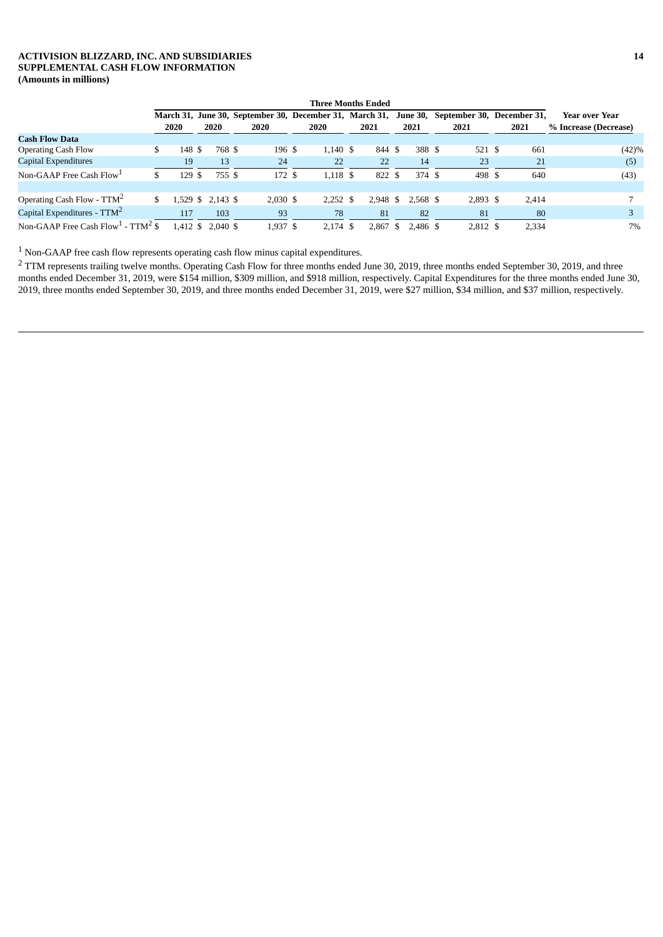# **ACTIVISION BLIZZARD, INC. AND SUBSIDIARIES SUPPLEMENTAL CASH FLOW INFORMATION (Amounts in millions)**

|                                                  |     |                     |                   |                                                         | Three Months Ended |            |      |            |                                     |       |                       |
|--------------------------------------------------|-----|---------------------|-------------------|---------------------------------------------------------|--------------------|------------|------|------------|-------------------------------------|-------|-----------------------|
|                                                  |     |                     |                   | March 31, June 30, September 30, December 31, March 31, |                    |            |      |            | June 30, September 30, December 31, |       | Year over Year        |
|                                                  |     | 2020                | 2020              | 2020                                                    | 2020               | 2021       |      | 2021       | 2021                                | 2021  | % Increase (Decrease) |
| <b>Cash Flow Data</b>                            |     |                     |                   |                                                         |                    |            |      |            |                                     |       |                       |
| <b>Operating Cash Flow</b>                       | \$  | 148 \$              | 768 \$            | 196 \$                                                  | 1.140S             | 844 \$     |      | 388 \$     | 521 \$                              | 661   | (42)%                 |
| Capital Expenditures                             |     | 19                  | 13                | 24                                                      | 22                 | 22         |      | 14         | 23                                  | 21    | (5)                   |
| Non-GAAP Free Cash Flow <sup>1</sup>             | S   | 129S                | 755\$             | 172 \$                                                  | 1.118 \$           | 822 \$     |      | 374 \$     | 498 \$                              | 640   | (43)                  |
|                                                  |     |                     |                   |                                                         |                    |            |      |            |                                     |       |                       |
| Operating Cash Flow - TTM <sup>2</sup>           | \$. |                     | 1,529 \$ 2,143 \$ | $2,030$ \$                                              | $2,252$ \$         | $2,948$ \$ |      | 2,568 \$   | $2,893$ \$                          | 2,414 |                       |
| Capital Expenditures - TTM <sup>2</sup>          |     | 117                 | 103               | 93                                                      | 78                 | 81         |      | 82         | 81                                  | 80    |                       |
| Non-GAAP Free Cash $Flow1$ - TTM <sup>2</sup> \$ |     | $1.412 \text{ }$ \$ | 2.040S            | 1,937 \$                                                | $2.174$ \$         | 2.867      | - \$ | $2.486$ \$ | $2,812$ \$                          | 2,334 | 7%                    |

 $^{\rm 1}$  Non-GAAP free cash flow represents operating cash flow minus capital expenditures.

<sup>2</sup> TTM represents trailing twelve months. Operating Cash Flow for three months ended June 30, 2019, three months ended September 30, 2019, and three months ended December 31, 2019, were \$154 million, \$309 million, and \$918 million, respectively. Capital Expenditures for the three months ended June 30, 2019, three months ended September 30, 2019, and three months ended December 31, 2019, were \$27 million, \$34 million, and \$37 million, respectively.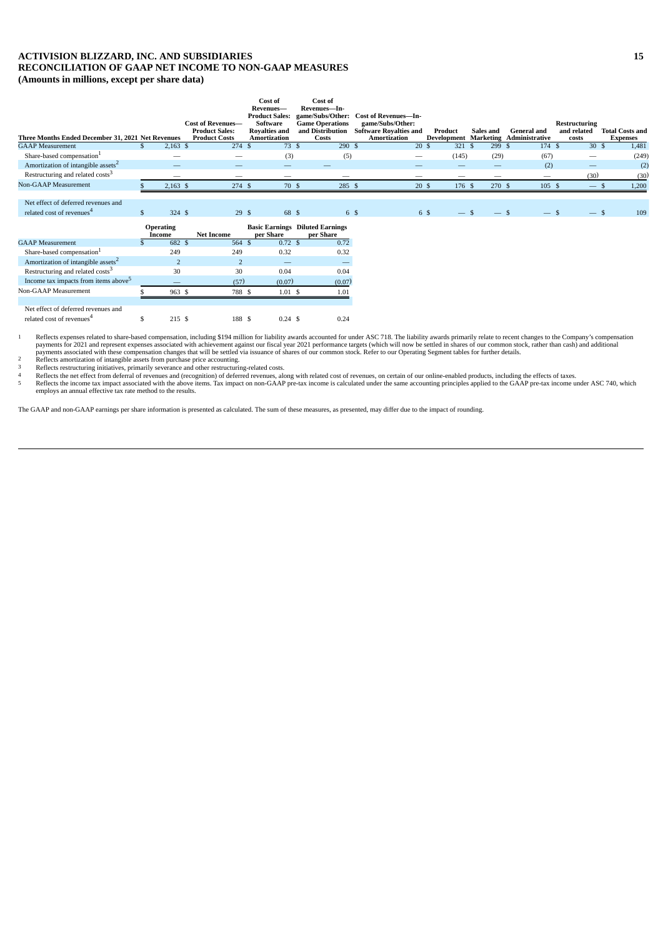# **ACTIVISION BLIZZARD, INC. AND SUBSIDIARIES RECONCILIATION OF GAAP NET INCOME TO NON-GAAP MEASURES (Amounts in millions, except per share data)**

| Three Months Ended December 31, 2021 Net Revenues                            |    |                            | <b>Cost of Revenues-</b><br><b>Product Sales:</b><br><b>Product Costs</b> |                | Cost of<br><b>Revenues—</b><br><b>Product Sales:</b><br>Software<br><b>Royalties and</b><br><b>Amortization</b> | Cost of<br><b>Revenues-In-</b><br>game/Subs/Other:<br><b>Game Operations</b><br>and Distribution<br>Costs | <b>Cost of Revenues-In-</b><br>game/Subs/Other:<br><b>Software Royalties and</b><br>Amortization |                                 | Product<br>Development Marketing Administrative | Sales and |        | <b>General</b> and | <b>Restructuring</b><br>and related<br>costs |                 | <b>Total Costs and</b><br><b>Expenses</b> |
|------------------------------------------------------------------------------|----|----------------------------|---------------------------------------------------------------------------|----------------|-----------------------------------------------------------------------------------------------------------------|-----------------------------------------------------------------------------------------------------------|--------------------------------------------------------------------------------------------------|---------------------------------|-------------------------------------------------|-----------|--------|--------------------|----------------------------------------------|-----------------|-------------------------------------------|
| <b>GAAP</b> Measurement                                                      |    | $2,163$ \$                 | 274                                                                       | - \$           | 73 \$                                                                                                           | 290S                                                                                                      |                                                                                                  | 20 <sub>5</sub>                 | 321S                                            | 299S      |        | 174S               |                                              | 30 <sup>5</sup> | 1,481                                     |
| Share-based compensation <sup>1</sup>                                        |    |                            |                                                                           |                | (3)                                                                                                             | (5)                                                                                                       |                                                                                                  | $\hspace{0.1mm}-\hspace{0.1mm}$ | (145)                                           | (29)      |        | (67)               | -                                            |                 | (249)                                     |
| Amortization of intangible assets <sup>2</sup>                               |    |                            |                                                                           |                |                                                                                                                 |                                                                                                           |                                                                                                  |                                 |                                                 |           |        | (2)                |                                              |                 | (2)                                       |
| Restructuring and related costs <sup>3</sup>                                 |    |                            |                                                                           |                | -                                                                                                               |                                                                                                           |                                                                                                  |                                 | -                                               |           |        |                    | (30)                                         |                 | (30)                                      |
| Non-GAAP Measurement                                                         |    | $2,163$ \$                 |                                                                           | 274S           | 70 \$                                                                                                           | 285 \$                                                                                                    |                                                                                                  | 20 <sup>5</sup>                 | 176 \$                                          | 270 \$    |        | 105 \$             |                                              | $-$ \$          | 1,200                                     |
| Net effect of deferred revenues and<br>related cost of revenues <sup>4</sup> | \$ | 324S                       |                                                                           | 29S            | 68 \$                                                                                                           | 6 \$                                                                                                      |                                                                                                  | 6 \$                            | $-$ \$                                          |           | $-$ \$ | $-$ \$             |                                              | $-$ \$          | 109                                       |
|                                                                              |    | <b>Operating</b><br>Income | <b>Net Income</b>                                                         |                | <b>Basic Earnings Diluted Earnings</b><br>per Share                                                             | per Share                                                                                                 |                                                                                                  |                                 |                                                 |           |        |                    |                                              |                 |                                           |
| <b>GAAP</b> Measurement                                                      |    | 682 \$                     |                                                                           | 564 \$         | $0.72 \text{ } $$                                                                                               | 0.72                                                                                                      |                                                                                                  |                                 |                                                 |           |        |                    |                                              |                 |                                           |
| Share-based compensation <sup>1</sup>                                        |    | 249                        | 249                                                                       |                | 0.32                                                                                                            | 0.32                                                                                                      |                                                                                                  |                                 |                                                 |           |        |                    |                                              |                 |                                           |
| Amortization of intangible assets <sup>2</sup>                               |    | $\overline{2}$             |                                                                           | $\overline{2}$ | -                                                                                                               |                                                                                                           |                                                                                                  |                                 |                                                 |           |        |                    |                                              |                 |                                           |
| Restructuring and related costs <sup>3</sup>                                 |    | 30                         |                                                                           | 30             | 0.04                                                                                                            | 0.04                                                                                                      |                                                                                                  |                                 |                                                 |           |        |                    |                                              |                 |                                           |
| Income tax impacts from items above <sup>5</sup>                             |    |                            |                                                                           | (57)           | (0.07)                                                                                                          | (0.07)                                                                                                    |                                                                                                  |                                 |                                                 |           |        |                    |                                              |                 |                                           |
| Non-GAAP Measurement                                                         |    | 963 \$                     |                                                                           | 788 \$         | 1.01S                                                                                                           | 1.01                                                                                                      |                                                                                                  |                                 |                                                 |           |        |                    |                                              |                 |                                           |
|                                                                              |    |                            |                                                                           |                |                                                                                                                 |                                                                                                           |                                                                                                  |                                 |                                                 |           |        |                    |                                              |                 |                                           |
| Net effect of deferred revenues and                                          |    |                            |                                                                           |                |                                                                                                                 |                                                                                                           |                                                                                                  |                                 |                                                 |           |        |                    |                                              |                 |                                           |
| related cost of revenues <sup>4</sup>                                        | S  | 215S                       |                                                                           | 188 \$         | $0.24 \text{ } $$                                                                                               | 0.24                                                                                                      |                                                                                                  |                                 |                                                 |           |        |                    |                                              |                 |                                           |

Reflects expenses related to share-based compensation, including \$194 million for liability awards accounted for under ASC 718. The liability awards primarily relate to recent changes to the Company's compensation payments

employs an annual effective tax rate method to the results.

The GAAP and non-GAAP earnings per share information is presented as calculated. The sum of these measures, as presented, may differ due to the impact of rounding.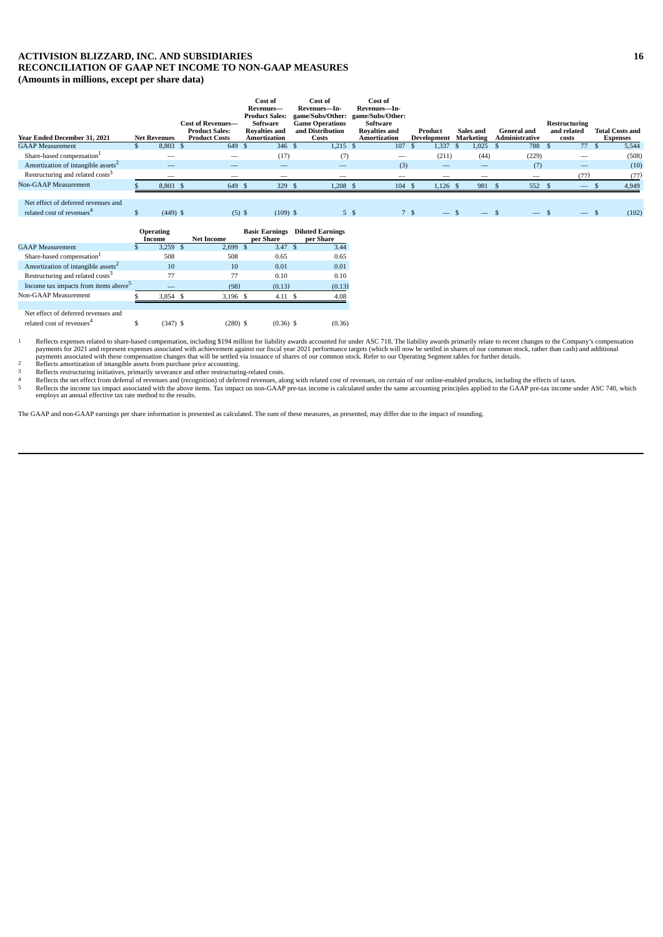# **ACTIVISION BLIZZARD, INC. AND SUBSIDIARIES RECONCILIATION OF GAAP NET INCOME TO NON-GAAP MEASURES (Amounts in millions, except per share data)**

| Year Ended December 31, 2021                                                 | <b>Net Revenues</b>        | <b>Cost of Revenues-</b><br><b>Product Sales:</b><br><b>Product Costs</b> | Cost of<br>Revenues-<br><b>Product Sales:</b><br>Software<br><b>Royalties and</b><br><b>Amortization</b> |            | Cost of<br><b>Revenues-In-</b><br>game/Subs/Other:<br><b>Game Operations</b><br>and Distribution<br>Costs | Cost of<br><b>Revenues—In-</b><br>game/Subs/Other:<br>Software<br><b>Royalties and</b><br>Amortization | Product<br>Development | Sales and<br>Marketing      | General and<br>Administrative | <b>Restructuring</b><br>and related<br>costs |           | <b>Total Costs and</b><br><b>Expenses</b> |
|------------------------------------------------------------------------------|----------------------------|---------------------------------------------------------------------------|----------------------------------------------------------------------------------------------------------|------------|-----------------------------------------------------------------------------------------------------------|--------------------------------------------------------------------------------------------------------|------------------------|-----------------------------|-------------------------------|----------------------------------------------|-----------|-------------------------------------------|
| <b>GAAP</b> Measurement                                                      | 8,803 \$                   | 649                                                                       | - \$                                                                                                     | 346        | 1,215<br>-\$                                                                                              | 107<br>- 55                                                                                            | 1,337<br>- S           | 1,025<br>- \$               | 788<br>- S                    |                                              | 77<br>-\$ | 5,544                                     |
| Share-based compensation <sup>1</sup>                                        |                            | -                                                                         |                                                                                                          | (17)       | (7)                                                                                                       | -                                                                                                      | (211)                  | (44)                        | (229)                         | -                                            |           | (508)                                     |
| Amortization of intangible assets <sup>2</sup>                               | _                          | _                                                                         |                                                                                                          |            |                                                                                                           | (3)                                                                                                    |                        |                             | (7)                           |                                              |           | (10)                                      |
| Restructuring and related costs <sup>3</sup>                                 |                            |                                                                           |                                                                                                          |            |                                                                                                           |                                                                                                        | -                      |                             |                               | (77)                                         |           | (77)                                      |
| Non-GAAP Measurement                                                         | 8,803 \$                   | 649                                                                       | - 55                                                                                                     | 329        | $1,208$ \$                                                                                                | 104                                                                                                    | $1,126$ \$<br>- 56     | 981                         | 552<br>- 55                   |                                              |           | 4,949                                     |
| Net effect of deferred revenues and<br>related cost of revenues <sup>4</sup> | \$<br>$(449)$ \$           |                                                                           | $(5)$ \$                                                                                                 | $(109)$ \$ |                                                                                                           | 5S                                                                                                     | 7 \$                   | $-$ \$<br>$\qquad \qquad -$ |                               | $-$ \$                                       | $-$ \$    | (102)                                     |
|                                                                              | <b>Operating</b><br>Income | <b>Net Income</b>                                                         | <b>Basic Earnings</b><br>per Share                                                                       |            | <b>Diluted Earnings</b><br>per Share                                                                      |                                                                                                        |                        |                             |                               |                                              |           |                                           |
| <b>GAAP</b> Measurement                                                      | $3.259$ \$                 | $2,699$ \$                                                                |                                                                                                          | 3.47       | 3.44<br>- \$                                                                                              |                                                                                                        |                        |                             |                               |                                              |           |                                           |
| Chara hosed componentiant                                                    | EAO                        | EOO                                                                       |                                                                                                          | 0C         | 0.05                                                                                                      |                                                                                                        |                        |                             |                               |                                              |           |                                           |

| <b>GAAP</b> Measurement                          | $3,259$ \$ | 2,699      |             | 3.47S            | 3.44   |
|--------------------------------------------------|------------|------------|-------------|------------------|--------|
| Share-based compensation <sup>1</sup>            | 508        | 508        | 0.65        |                  | 0.65   |
| Amortization of intangible assets <sup>2</sup>   | 10         | 10         | 0.01        |                  | 0.01   |
| Restructuring and related costs <sup>3</sup>     | 77         | 77         | 0.10        |                  | 0.10   |
| Income tax impacts from items above <sup>5</sup> |            | (98)       | (0.13)      |                  | (0.13) |
| Non-GAAP Measurement                             | $3.854$ \$ | $3.196$ \$ |             | $4.11 \text{ S}$ | 4.08   |
|                                                  |            |            |             |                  |        |
| Net effect of deferred revenues and              |            |            |             |                  |        |
| related cost of revenues <sup>4</sup>            | (347) S    | (280) \$   | $(0.36)$ \$ |                  | (0.36) |

Reflects expenses related to share-based compensation, including \$194 million for liability awards accounted for under ASC 718. The liability awards primarily relate to recent changes to the Company's compensation payments

Reflects the net effect from deferral of revenues and (recognition) of deferred revenues, along with related cost of revenues, on certain of our online-enabled products, including the effects of taxes.<br>Beflects the income

employs an annual effective tax rate method to the results.

The GAAP and non-GAAP earnings per share information is presented as calculated. The sum of these measures, as presented, may differ due to the impact of rounding.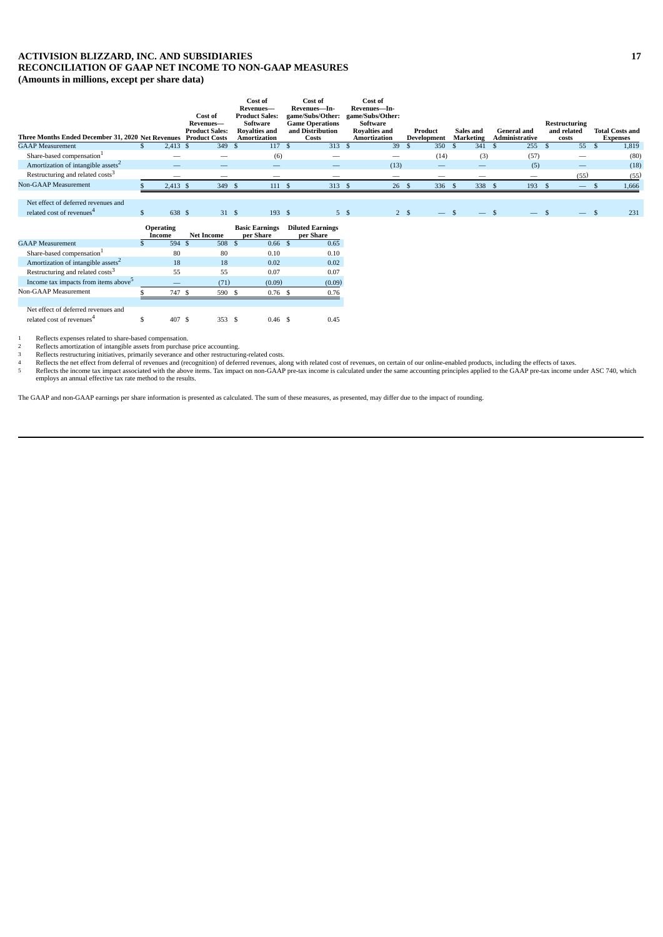# **ACTIVISION BLIZZARD, INC. AND SUBSIDIARIES 17 RECONCILIATION OF GAAP NET INCOME TO NON-GAAP MEASURES (Amounts in millions, except per share data)**

|                                                                 |                  |      |                       |      | Cost of                                     |      | Cost of                 | Cost of                                     |    |                    |      |                               |      |                                             |    |                          |              |                        |
|-----------------------------------------------------------------|------------------|------|-----------------------|------|---------------------------------------------|------|-------------------------|---------------------------------------------|----|--------------------|------|-------------------------------|------|---------------------------------------------|----|--------------------------|--------------|------------------------|
|                                                                 |                  |      |                       |      | Revenues-                                   |      | <b>Revenues-In-</b>     | <b>Revenues-In-</b>                         |    |                    |      |                               |      |                                             |    |                          |              |                        |
|                                                                 |                  |      | Cost of               |      | <b>Product Sales:</b>                       |      | game/Subs/Other:        | game/Subs/Other:                            |    |                    |      |                               |      |                                             |    |                          |              |                        |
|                                                                 |                  |      | Revenues-             |      | Software                                    |      | <b>Game Operations</b>  | Software                                    |    |                    |      |                               |      |                                             |    | <b>Restructuring</b>     |              |                        |
| Three Months Ended December 31, 2020 Net Revenues Product Costs |                  |      | <b>Product Sales:</b> |      | <b>Royalties and</b><br><b>Amortization</b> |      | and Distribution        | <b>Royalties and</b><br><b>Amortization</b> |    | Product            |      | Sales and<br><b>Marketing</b> |      | <b>General</b> and<br><b>Administrative</b> |    | and related              |              | <b>Total Costs and</b> |
| <b>GAAP Measurement</b>                                         | $2,413$ \$       |      | 349                   | -S   | 117 \$                                      |      | Costs<br>313S           | 39                                          | -S | Development<br>350 | - \$ | 341                           | - \$ | 255                                         | -S | costs<br>55              | $\mathbf{s}$ | Expenses<br>1,819      |
| Share-based compensation <sup>1</sup>                           |                  |      |                       |      | (6)                                         |      |                         |                                             |    | (14)               |      | (3)                           |      | (57)                                        |    |                          |              | (80)                   |
| Amortization of intangible assets <sup>2</sup>                  |                  |      |                       |      |                                             |      | –                       | (13)                                        |    |                    |      |                               |      | (5)                                         |    |                          |              | (18)                   |
| Restructuring and related costs <sup>3</sup>                    |                  |      |                       |      | -                                           |      | -                       |                                             |    |                    |      | –                             |      | -                                           |    | (55)                     |              | (55)                   |
| Non-GAAP Measurement                                            | $2,413$ \$       |      | 349                   | -S   | 111                                         | - \$ | 313 \$                  | 26                                          | -S | 336                | - \$ | 338 \$                        |      | 193                                         |    |                          |              | 1,666                  |
|                                                                 |                  |      |                       |      |                                             |      |                         |                                             |    |                    |      |                               |      |                                             |    |                          |              |                        |
| Net effect of deferred revenues and                             |                  |      |                       |      |                                             |      |                         |                                             |    |                    |      |                               |      |                                             |    |                          |              |                        |
| related cost of revenues <sup>4</sup>                           | \$<br>638 \$     |      | 31S                   |      | 193 \$                                      |      | 5S                      | 2 S                                         |    |                    |      |                               |      |                                             |    | $\overline{\phantom{0}}$ |              | 231                    |
|                                                                 | <b>Operating</b> |      |                       |      | <b>Basic Earnings</b>                       |      | <b>Diluted Earnings</b> |                                             |    |                    |      |                               |      |                                             |    |                          |              |                        |
|                                                                 | Income           |      | <b>Net Income</b>     |      | per Share                                   |      | per Share               |                                             |    |                    |      |                               |      |                                             |    |                          |              |                        |
| <b>GAAP</b> Measurement                                         | 594              | - \$ | 508                   | - \$ | 0.66 <sup>5</sup>                           |      | 0.65                    |                                             |    |                    |      |                               |      |                                             |    |                          |              |                        |
| Share-based compensation <sup>1</sup>                           | 80               |      | 80                    |      | 0.10                                        |      | 0.10                    |                                             |    |                    |      |                               |      |                                             |    |                          |              |                        |
| Amortization of intangible assets <sup>2</sup>                  | 18               |      | 18                    |      | 0.02                                        |      | 0.02                    |                                             |    |                    |      |                               |      |                                             |    |                          |              |                        |
| Restructuring and related costs <sup>3</sup>                    | 55               |      | 55                    |      | 0.07                                        |      | 0.07                    |                                             |    |                    |      |                               |      |                                             |    |                          |              |                        |
| Income tax impacts from items above <sup>5</sup>                |                  |      | (71)                  |      | (0.09)                                      |      | (0.09)                  |                                             |    |                    |      |                               |      |                                             |    |                          |              |                        |
| Non-GAAP Measurement                                            | 747 \$           |      | 590                   | -S   | $0.76$ \$                                   |      | 0.76                    |                                             |    |                    |      |                               |      |                                             |    |                          |              |                        |

Net effect of deferred revenues and related cost of revenues

1 Reflects expenses related to share-based compensation. 2 Reflects amortization of intangible assets from purchase price accounting.

Reflects restructuring initiatives, primarily severance and other restructuring-related costs.<br>Reflects the net effect from deferral of revenues and (recognition) of deferred revenues, along with related cost of revenues,

The GAAP and non-GAAP earnings per share information is presented as calculated. The sum of these measures, as presented, may differ due to the impact of rounding.

\$ 407 \$ 353 \$ 0.46 \$ 0.45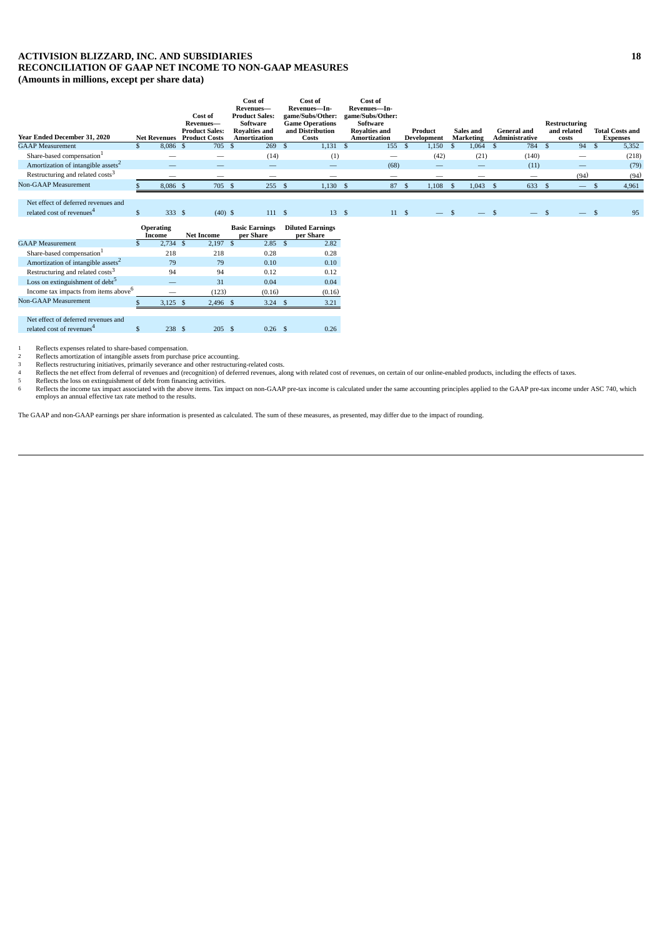# **ACTIVISION BLIZZARD, INC. AND SUBSIDIARIES 18 RECONCILIATION OF GAAP NET INCOME TO NON-GAAP MEASURES (Amounts in millions, except per share data)**

|                                                  |    |                     |                                           |           | Cost of                          |              | Cost of                                    | Cost of                          |      |                          |      |                  |      |                          |      |                                     |                        |
|--------------------------------------------------|----|---------------------|-------------------------------------------|-----------|----------------------------------|--------------|--------------------------------------------|----------------------------------|------|--------------------------|------|------------------|------|--------------------------|------|-------------------------------------|------------------------|
|                                                  |    |                     |                                           |           | <b>Revenues—</b>                 |              | <b>Revenues-In-</b>                        | Revenues-In-                     |      |                          |      |                  |      |                          |      |                                     |                        |
|                                                  |    |                     | Cost of                                   |           | <b>Product Sales:</b>            |              | game/Subs/Other:                           | game/Subs/Other:                 |      |                          |      |                  |      |                          |      |                                     |                        |
|                                                  |    |                     | <b>Revenues-</b><br><b>Product Sales:</b> |           | Software<br><b>Royalties and</b> |              | <b>Game Operations</b><br>and Distribution | Software<br><b>Royalties and</b> |      | Product                  |      | Sales and        |      | <b>General</b> and       |      | <b>Restructuring</b><br>and related | <b>Total Costs and</b> |
| Year Ended December 31, 2020                     |    | <b>Net Revenues</b> | <b>Product Costs</b>                      |           | Amortization                     |              | Costs                                      | Amortization                     |      | Development              |      | <b>Marketing</b> |      | Administrative           |      | costs                               | <b>Expenses</b>        |
| <b>GAAP</b> Measurement                          | S. | 8,086 \$            | 705                                       |           | 269<br>- \$                      | $\mathbf{s}$ | $1,131$ \$                                 | 155                              | - \$ | 1,150                    |      | 1,064            | -S   | 784                      | -S   | 94S                                 | 5,352                  |
| Share-based compensation <sup>1</sup>            |    |                     |                                           | -         | (14)                             |              | (1)                                        | -                                |      | (42)                     |      | (21)             |      | (140)                    |      |                                     | (218)                  |
| Amortization of intangible assets <sup>2</sup>   |    |                     |                                           |           | _                                |              |                                            | (68)                             |      |                          |      |                  |      | (11)                     |      |                                     | (79)                   |
| Restructuring and related costs <sup>3</sup>     |    |                     |                                           |           |                                  |              |                                            |                                  |      |                          |      |                  |      | -                        |      | (94)                                | (94)                   |
| <b>Non-GAAP Measurement</b>                      |    | 8,086 \$            |                                           | 705 \$    | 255S                             |              | $1,130$ \$                                 | 87                               | - \$ | 1,108                    | - S  | $1,043$ \$       |      | 633                      | - 5  | $\qquad \qquad -$                   | 4,961                  |
| Net effect of deferred revenues and              |    |                     |                                           |           |                                  |              |                                            |                                  |      |                          |      |                  |      |                          |      |                                     |                        |
| related cost of revenues <sup>4</sup>            |    |                     |                                           |           |                                  |              |                                            |                                  |      |                          |      |                  |      |                          |      |                                     |                        |
|                                                  | \$ | 333S                |                                           | $(40)$ \$ | 111 \$                           |              | 13S                                        | 11S                              |      | $\overline{\phantom{0}}$ | - \$ | —                | - \$ | $\overline{\phantom{0}}$ | - \$ | $-$ \$                              | 95                     |
|                                                  |    | <b>Operating</b>    |                                           |           | <b>Basic Earnings</b>            |              | <b>Diluted Earnings</b>                    |                                  |      |                          |      |                  |      |                          |      |                                     |                        |
|                                                  |    | Income              | <b>Net Income</b>                         |           | per Share                        |              | per Share                                  |                                  |      |                          |      |                  |      |                          |      |                                     |                        |
| <b>GAAP</b> Measurement                          | S. | 2,734               | 2,197<br>-S                               |           | $2.85$ \$<br>- \$                |              | 2.82                                       |                                  |      |                          |      |                  |      |                          |      |                                     |                        |
| Share-based compensation <sup>1</sup>            |    | 218                 | 218                                       |           | 0.28                             |              | 0.28                                       |                                  |      |                          |      |                  |      |                          |      |                                     |                        |
| Amortization of intangible assets <sup>2</sup>   |    | 79                  |                                           | 79        | 0.10                             |              | 0.10                                       |                                  |      |                          |      |                  |      |                          |      |                                     |                        |
| Restructuring and related costs <sup>3</sup>     |    | 94                  |                                           | 94        | 0.12                             |              | 0.12                                       |                                  |      |                          |      |                  |      |                          |      |                                     |                        |
| Loss on extinguishment of debt <sup>5</sup>      |    |                     |                                           | 31        | 0.04                             |              | 0.04                                       |                                  |      |                          |      |                  |      |                          |      |                                     |                        |
| Income tax impacts from items above <sup>b</sup> |    | -                   | (123)                                     |           | (0.16)                           |              | (0.16)                                     |                                  |      |                          |      |                  |      |                          |      |                                     |                        |
| <b>Non-GAAP Measurement</b>                      |    | $3,125$ \$          | $2,496$ \$                                |           | $3.24$ \$                        |              | 3.21                                       |                                  |      |                          |      |                  |      |                          |      |                                     |                        |

Net effect of deferred revenues and related cost of revenues

1 Reflects expenses related to share-based compensation.<br>2 Reflects amortization of intangible assets from purchase

Processive contraction of intangible assets from purchase price accounting.<br>
2 Reflects restructuring initiatives primarily severance and other restructuring.

3 Reflects restructuring initiatives, primarily severance and other restructuring-related costs.<br>4 Reflects the net effect from deferral of revenues and (recognition) of deferred revenues, along with related cost of revenu

5 Reflects the loss on extinguishment of debt from financing activities.<br>
Reflects the income tax impact associated with the above items. Tax

6 Reflects the income tax impact associated with the above items. Tax impact on non-GAAP pre-tax income is calculated under the same accounting principles applied to the GAAP pre-tax income under ASC 740, which<br>employs an

The GAAP and non-GAAP earnings per share information is presented as calculated. The sum of these measures, as presented, may differ due to the impact of rounding.

<sup>4</sup> \$ 238 \$ 205 \$ 0.26 \$ 0.26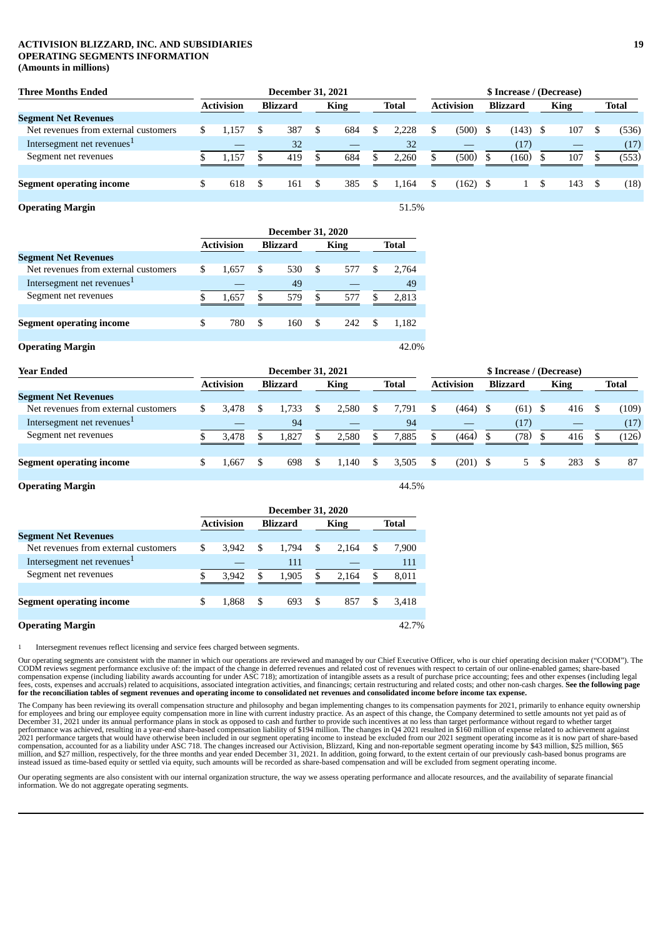# **ACTIVISION BLIZZARD, INC. AND SUBSIDIARIES 19 OPERATING SEGMENTS INFORMATION (Amounts in millions)**

| <b>Three Months Ended</b>              |  |                   | <b>December 31, 2021</b> |    |             |              |                   | \$ Increase / (Decrease) |             |              |
|----------------------------------------|--|-------------------|--------------------------|----|-------------|--------------|-------------------|--------------------------|-------------|--------------|
|                                        |  | <b>Activision</b> | <b>Blizzard</b>          |    | <b>King</b> | <b>Total</b> | <b>Activision</b> | <b>Blizzard</b>          | <b>King</b> | <b>Total</b> |
| <b>Segment Net Revenues</b>            |  |                   |                          |    |             |              |                   |                          |             |              |
| Net revenues from external customers   |  | l.157             | 387                      |    | 684         | 2.228        | (500)             | (143) \$                 | 107         | (536)        |
| Intersegment net revenues <sup>1</sup> |  |                   | 32                       |    |             | 32           |                   | (17)                     |             | (17)         |
| Segment net revenues                   |  | 1,157             | 419                      |    | 684         | 2.260        | (500)             | (160)                    | 107         | (553)        |
|                                        |  |                   |                          |    |             |              |                   |                          |             |              |
| <b>Segment operating income</b>        |  | 618               | 161                      | .S | 385         | 1.164        | $(162)$ \$        |                          | 143         | (18)         |
|                                        |  |                   |                          |    |             |              |                   |                          |             |              |

**Operating Margin** 51.5%

|                                        | <b>December 31, 2020</b> |                   |   |          |     |             |    |       |  |  |  |  |
|----------------------------------------|--------------------------|-------------------|---|----------|-----|-------------|----|-------|--|--|--|--|
|                                        |                          | <b>Activision</b> |   | Blizzard |     | <b>King</b> |    | Total |  |  |  |  |
| <b>Segment Net Revenues</b>            |                          |                   |   |          |     |             |    |       |  |  |  |  |
| Net revenues from external customers   | \$                       | 1.657             | S | 530      | S   | 577         | S  | 2.764 |  |  |  |  |
| Intersegment net revenues <sup>1</sup> |                          |                   |   | 49       |     |             |    | 49    |  |  |  |  |
| Segment net revenues                   |                          | 1.657             | S | 579      | \$. | 577         | S  | 2.813 |  |  |  |  |
|                                        |                          |                   |   |          |     |             |    |       |  |  |  |  |
| <b>Segment operating income</b>        | \$                       | 780               | S | 160      | -S  | 242         | \$ | 1.182 |  |  |  |  |
|                                        |                          |                   |   |          |     |             |    |       |  |  |  |  |

**Operating Margin** 42.0%

| <b>Year Ended</b>                      |    |                   |  | <b>December 31, 2021</b> |  |             |  | \$ Increase / (Decrease) |                   |          |                 |           |             |     |  |              |
|----------------------------------------|----|-------------------|--|--------------------------|--|-------------|--|--------------------------|-------------------|----------|-----------------|-----------|-------------|-----|--|--------------|
|                                        |    | <b>Activision</b> |  | <b>Blizzard</b>          |  | <b>King</b> |  | <b>Total</b>             | <b>Activision</b> |          | <b>Blizzard</b> |           | <b>King</b> |     |  | <b>Total</b> |
| <b>Segment Net Revenues</b>            |    |                   |  |                          |  |             |  |                          |                   |          |                 |           |             |     |  |              |
| Net revenues from external customers   | Эħ | 3.478             |  | .733                     |  | 2.580       |  | 7.791                    |                   | (464)    |                 | $(61)$ \$ |             | 416 |  | (109)        |
| Intersegment net revenues <sup>1</sup> |    |                   |  | 94                       |  |             |  | 94                       |                   |          |                 | (17)      |             |     |  | (17)         |
| Segment net revenues                   |    | 3.478             |  | 1,827                    |  | 2.580       |  | 7,885                    |                   | (464)    |                 | (78)      |             | 416 |  | (126)        |
|                                        |    |                   |  |                          |  |             |  |                          |                   |          |                 |           |             |     |  |              |
| <b>Segment operating income</b>        |    | 667               |  | 698                      |  | .140        |  | 3.505                    |                   | (201) \$ |                 | 5 \$      |             | 283 |  | 87           |
|                                        |    |                   |  |                          |  |             |  |                          |                   |          |                 |           |             |     |  |              |

**Operating Margin** 44.5%

|                                        | <b>December 31, 2020</b> |                   |    |                 |     |             |    |              |  |  |  |  |
|----------------------------------------|--------------------------|-------------------|----|-----------------|-----|-------------|----|--------------|--|--|--|--|
|                                        |                          | <b>Activision</b> |    | <b>Blizzard</b> |     | <b>King</b> |    | <b>Total</b> |  |  |  |  |
| <b>Segment Net Revenues</b>            |                          |                   |    |                 |     |             |    |              |  |  |  |  |
| Net revenues from external customers   | \$                       | 3.942             | S  | 1.794           | S   | 2.164       | S  | 7,900        |  |  |  |  |
| Intersegment net revenues <sup>1</sup> |                          |                   |    | 111             |     |             |    | 111          |  |  |  |  |
| Segment net revenues                   |                          | 3.942             | \$ | 1.905           | £.  | 2.164       | £. | 8,011        |  |  |  |  |
|                                        |                          |                   |    |                 |     |             |    |              |  |  |  |  |
| <b>Segment operating income</b>        | \$                       | 1.868             | \$ | 693             | \$. | 857         | S  | 3,418        |  |  |  |  |
|                                        |                          |                   |    |                 |     |             |    |              |  |  |  |  |

# **Operating Margin** 42.7%

1 Intersegment revenues reflect licensing and service fees charged between segments.

Our operating segments are consistent with the manner in which our operations are reviewed and managed by our Chief Executive Officer, who is our chief operating decision maker ("CODM"). The CODM reviews segment performanc

The Company has been reviewing its overall compensation structure and philosophy and began implementing changes to its compensation payments for 2021, primarily to enhance equity ownership for employees and bring our employee equity compensation more in line with current industry practice. As an aspect of this change, the Company determined to settle amounts not yet paid as of<br>December 31, 2021 under its ann performance was achieved, resulting in a year-end share-based compensation liability of \$194 million. The changes in Q4 2021 resulted in \$160 million of expense related to achievement against<br>2021 performance targets that

Our operating segments are also consistent with our internal organization structure, the way we assess operating performance and allocate resources, and the availability of separate financial<br>information. We do not aggrega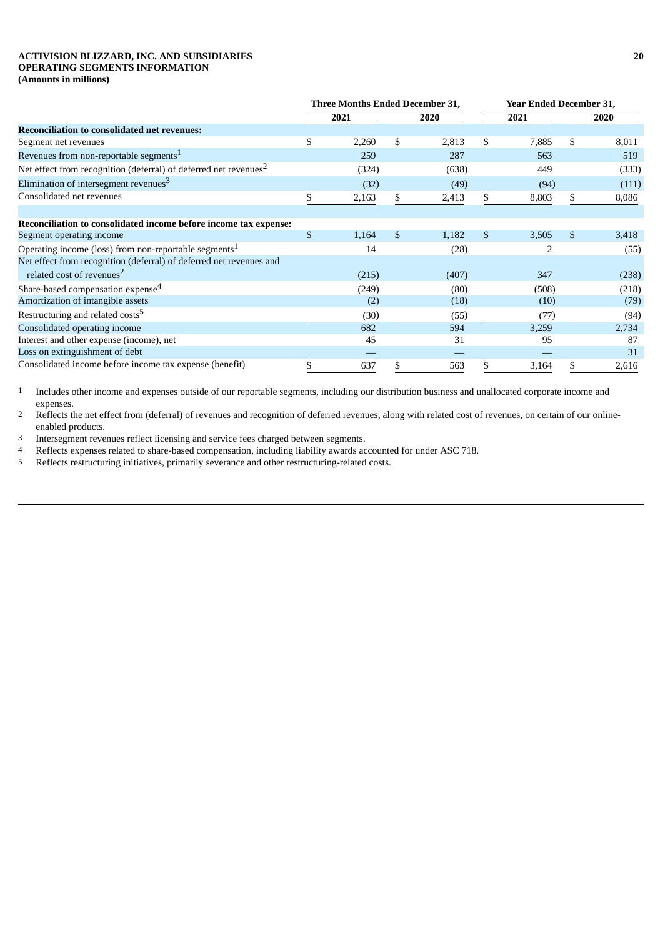# **ACTIVISION BLIZZARD, INC. AND SUBSIDIARIES OPERATING SEGMENTS INFORMATION (Amounts in millions)**

|                                                                              |              | Three Months Ended December 31, |             | <b>Year Ended December 31,</b> |                |    |       |  |
|------------------------------------------------------------------------------|--------------|---------------------------------|-------------|--------------------------------|----------------|----|-------|--|
|                                                                              |              | 2021                            | 2020        |                                | 2021           |    | 2020  |  |
| <b>Reconciliation to consolidated net revenues:</b>                          |              |                                 |             |                                |                |    |       |  |
| Segment net revenues                                                         | \$           | 2,260                           | \$<br>2,813 | \$                             | 7,885          | \$ | 8,011 |  |
| Revenues from non-reportable segments $1$                                    |              | 259                             | 287         |                                | 563            |    | 519   |  |
| Net effect from recognition (deferral) of deferred net revenues <sup>2</sup> |              | (324)                           | (638)       |                                | 449            |    | (333) |  |
| Elimination of intersegment revenues <sup>3</sup>                            |              | (32)                            | (49)        |                                | (94)           |    | (111) |  |
| Consolidated net revenues                                                    |              | 2,163                           | \$<br>2,413 | \$                             | 8,803          | \$ | 8,086 |  |
| Reconciliation to consolidated income before income tax expense:             |              |                                 |             |                                |                |    |       |  |
| Segment operating income                                                     | $\mathbb{S}$ | 1,164                           | \$<br>1,182 | \$                             | 3,505          | \$ | 3,418 |  |
| Operating income (loss) from non-reportable segments <sup>1</sup>            |              | 14                              | (28)        |                                | $\overline{2}$ |    | (55)  |  |
| Net effect from recognition (deferral) of deferred net revenues and          |              |                                 |             |                                |                |    |       |  |
| related cost of revenues <sup>2</sup>                                        |              | (215)                           | (407)       |                                | 347            |    | (238) |  |
| Share-based compensation expense <sup>4</sup>                                |              | (249)                           | (80)        |                                | (508)          |    | (218) |  |
| Amortization of intangible assets                                            |              | (2)                             | (18)        |                                | (10)           |    | (79)  |  |
| Restructuring and related costs <sup>5</sup>                                 |              | (30)                            | (55)        |                                | (77)           |    | (94)  |  |
| Consolidated operating income                                                |              | 682                             | 594         |                                | 3,259          |    | 2,734 |  |
| Interest and other expense (income), net                                     |              | 45                              | 31          |                                | 95             |    | 87    |  |
| Loss on extinguishment of debt                                               |              |                                 |             |                                |                |    | 31    |  |
| Consolidated income before income tax expense (benefit)                      |              | 637                             | \$<br>563   | \$                             | 3,164          | \$ | 2,616 |  |

<sup>1</sup> Includes other income and expenses outside of our reportable segments, including our distribution business and unallocated corporate income and expenses.

2 Reflects the net effect from (deferral) of revenues and recognition of deferred revenues, along with related cost of revenues, on certain of our onlineenabled products.

3 Intersegment revenues reflect licensing and service fees charged between segments.

4 Reflects expenses related to share-based compensation, including liability awards accounted for under ASC 718.<br>5 Reflects restructuring initiatives, primarily severance and other restructuring-related costs.

5 Reflects restructuring initiatives, primarily severance and other restructuring-related costs.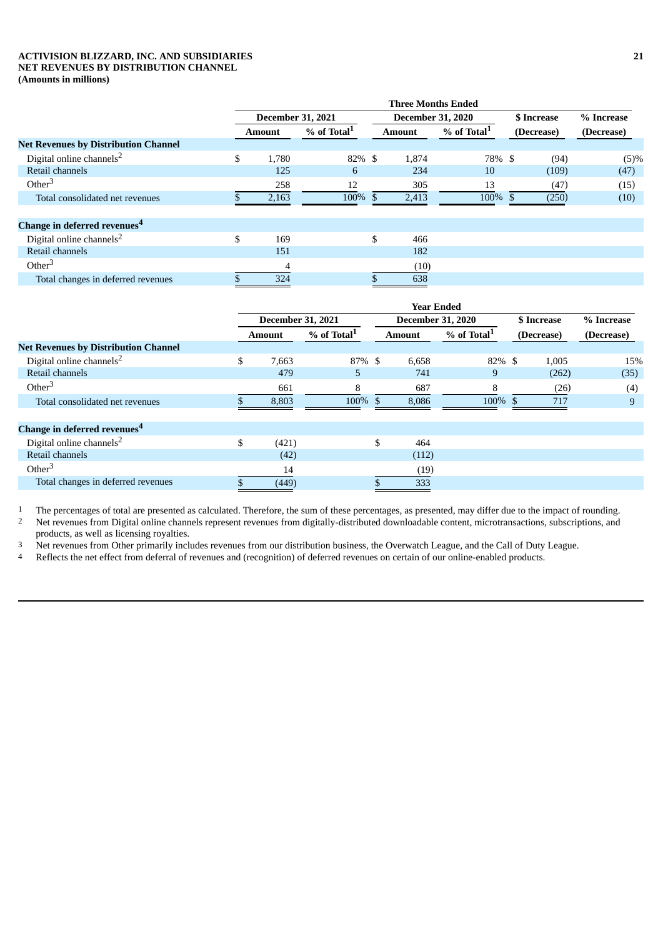# **ACTIVISION BLIZZARD, INC. AND SUBSIDIARIES NET REVENUES BY DISTRIBUTION CHANNEL (Amounts in millions)**

|                                             | <b>Three Months Ended</b> |                          |                         |               |       |                          |             |            |  |  |  |  |  |
|---------------------------------------------|---------------------------|--------------------------|-------------------------|---------------|-------|--------------------------|-------------|------------|--|--|--|--|--|
|                                             |                           | <b>December 31, 2021</b> |                         |               |       | <b>December 31, 2020</b> | \$ Increase | % Increase |  |  |  |  |  |
|                                             |                           | <b>Amount</b>            | % of Total <sup>1</sup> | <b>Amount</b> |       | % of Total <sup>1</sup>  | (Decrease)  | (Decrease) |  |  |  |  |  |
| <b>Net Revenues by Distribution Channel</b> |                           |                          |                         |               |       |                          |             |            |  |  |  |  |  |
| Digital online channels <sup>2</sup>        | \$                        | 1,780                    | $82\%$ \$               |               | 1,874 | 78% \$                   | (94)        | (5)%       |  |  |  |  |  |
| Retail channels                             |                           | 125                      | 6                       |               | 234   | 10                       | (109)       | (47)       |  |  |  |  |  |
| $O$ ther <sup>3</sup>                       |                           | 258                      | 12                      |               | 305   | 13                       | (47)        | (15)       |  |  |  |  |  |
| Total consolidated net revenues             |                           | 2,163                    | $100\%$ \$              |               | 2,413 | $100\%$ \$               | (250)       | (10)       |  |  |  |  |  |
| Change in deferred revenues <sup>4</sup>    |                           |                          |                         |               |       |                          |             |            |  |  |  |  |  |
| Digital online channels <sup>2</sup>        | \$                        | 169                      |                         | \$            | 466   |                          |             |            |  |  |  |  |  |
| Retail channels                             |                           | 151                      |                         |               | 182   |                          |             |            |  |  |  |  |  |
| Other <sup>3</sup>                          |                           | 4                        |                         |               | (10)  |                          |             |            |  |  |  |  |  |
| Total changes in deferred revenues          |                           | 324                      |                         |               | 638   |                          |             |            |  |  |  |  |  |

|                                             | <b>Year Ended</b>                        |                          |               |                         |                          |            |                    |                   |  |  |  |  |  |
|---------------------------------------------|------------------------------------------|--------------------------|---------------|-------------------------|--------------------------|------------|--------------------|-------------------|--|--|--|--|--|
|                                             |                                          | <b>December 31, 2021</b> |               |                         | <b>December 31, 2020</b> |            | <b>\$</b> Increase | % Increase        |  |  |  |  |  |
|                                             | % of Total <sup>1</sup><br><b>Amount</b> |                          | <b>Amount</b> | % of Total <sup>1</sup> | (Decrease)               | (Decrease) |                    |                   |  |  |  |  |  |
| <b>Net Revenues by Distribution Channel</b> |                                          |                          |               |                         |                          |            |                    |                   |  |  |  |  |  |
| Digital online channels <sup>2</sup>        | \$                                       | 7,663                    | $87\%$ \$     |                         | 6,658                    | $82\%$ \$  | 1,005              | 15%               |  |  |  |  |  |
| Retail channels                             |                                          | 479                      | 5             |                         | 741                      | 9          | (262)              | (35)              |  |  |  |  |  |
| $O$ ther <sup>3</sup>                       |                                          | 661                      | 8             |                         | 687                      | 8          | (26)               | $\left( 4\right)$ |  |  |  |  |  |
| Total consolidated net revenues             |                                          | 8,803                    | 100%          | -S                      | 8,086                    | 100% \$    | 717                | 9                 |  |  |  |  |  |
|                                             |                                          |                          |               |                         |                          |            |                    |                   |  |  |  |  |  |
| Change in deferred revenues <sup>4</sup>    |                                          |                          |               |                         |                          |            |                    |                   |  |  |  |  |  |
| Digital online channels <sup>2</sup>        | \$                                       | (421)                    |               | \$                      | 464                      |            |                    |                   |  |  |  |  |  |
| Retail channels                             |                                          | (42)                     |               |                         | (112)                    |            |                    |                   |  |  |  |  |  |
| Other $3$                                   |                                          | 14                       |               |                         | (19)                     |            |                    |                   |  |  |  |  |  |
| Total changes in deferred revenues          |                                          | (449)                    |               |                         | 333                      |            |                    |                   |  |  |  |  |  |

1 The percentages of total are presented as calculated. Therefore, the sum of these percentages, as presented, may differ due to the impact of rounding.

2 Net revenues from Digital online channels represent revenues from digitally-distributed downloadable content, microtransactions, subscriptions, and products, as well as licensing royalties.

<sup>3</sup> Net revenues from Other primarily includes revenues from our distribution business, the Overwatch League, and the Call of Duty League.<br><sup>4</sup> Reflects the net effect from deferral of revenues and (recognition) of deferred

Reflects the net effect from deferral of revenues and (recognition) of deferred revenues on certain of our online-enabled products.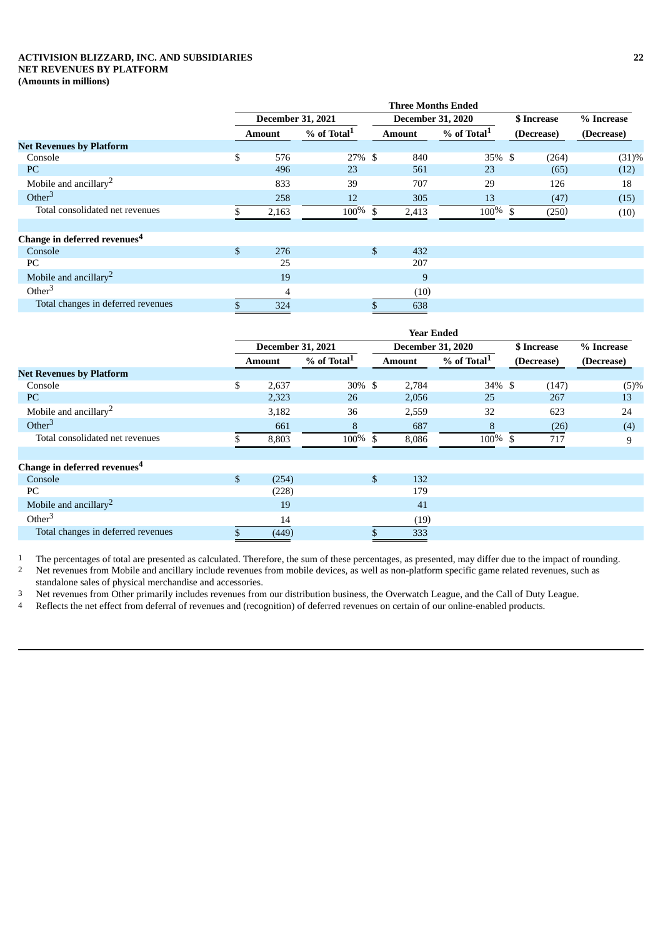# **ACTIVISION BLIZZARD, INC. AND SUBSIDIARIES NET REVENUES BY PLATFORM (Amounts in millions)**

|                                          | <b>Three Months Ended</b> |                         |    |                          |                         |             |            |  |  |  |  |  |  |
|------------------------------------------|---------------------------|-------------------------|----|--------------------------|-------------------------|-------------|------------|--|--|--|--|--|--|
|                                          | <b>December 31, 2021</b>  |                         |    | <b>December 31, 2020</b> |                         | \$ Increase | % Increase |  |  |  |  |  |  |
|                                          | Amount                    | % of Total <sup>1</sup> |    | Amount                   | % of Total <sup>1</sup> | (Decrease)  | (Decrease) |  |  |  |  |  |  |
| <b>Net Revenues by Platform</b>          |                           |                         |    |                          |                         |             |            |  |  |  |  |  |  |
| Console                                  | \$<br>576                 | $27\%$ \$               |    | 840                      | 35% \$                  | (264)       | (31)%      |  |  |  |  |  |  |
| <b>PC</b>                                | 496                       | 23                      |    | 561                      | 23                      | (65)        | (12)       |  |  |  |  |  |  |
| Mobile and ancillary <sup>2</sup>        | 833                       | 39                      |    | 707                      | 29                      | 126         | 18         |  |  |  |  |  |  |
| Other $3$                                | 258                       | 12                      |    | 305                      | 13                      | (47)        | (15)       |  |  |  |  |  |  |
| Total consolidated net revenues          | 2,163                     | $100\%$                 | \$ | 2,413                    | 100% \$                 | (250)       | (10)       |  |  |  |  |  |  |
|                                          |                           |                         |    |                          |                         |             |            |  |  |  |  |  |  |
| Change in deferred revenues <sup>4</sup> |                           |                         |    |                          |                         |             |            |  |  |  |  |  |  |
| Console                                  | \$<br>276                 |                         | \$ | 432                      |                         |             |            |  |  |  |  |  |  |
| PC                                       | 25                        |                         |    | 207                      |                         |             |            |  |  |  |  |  |  |
| Mobile and ancillary <sup>2</sup>        | 19                        |                         |    | 9                        |                         |             |            |  |  |  |  |  |  |
| Other $3$                                | 4                         |                         |    | (10)                     |                         |             |            |  |  |  |  |  |  |
| Total changes in deferred revenues       | 324                       |                         | \$ | 638                      |                         |             |            |  |  |  |  |  |  |

|                                          |                          | <b>Year Ended</b>       |               |                          |             |            |
|------------------------------------------|--------------------------|-------------------------|---------------|--------------------------|-------------|------------|
|                                          | <b>December 31, 2021</b> |                         |               | <b>December 31, 2020</b> | \$ Increase | % Increase |
|                                          | Amount                   | % of Total <sup>1</sup> | <b>Amount</b> | % of Total <sup>1</sup>  | (Decrease)  | (Decrease) |
| <b>Net Revenues by Platform</b>          |                          |                         |               |                          |             |            |
| Console                                  | \$<br>2,637              | $30\%$ \$               | 2,784         | $34\%$ \$                | (147)       | (5)%       |
| PC                                       | 2,323                    | 26                      | 2,056         | 25                       | 267         | 13         |
| Mobile and ancillary <sup>2</sup>        | 3,182                    | 36                      | 2,559         | 32                       | 623         | 24         |
| Other $3$                                | 661                      | 8                       | 687           | 8                        | (26)        | (4)        |
| Total consolidated net revenues          | 8,803                    | 100% \$                 | 8,086         | $100\% \ \overline{\$}$  | 717         | 9          |
|                                          |                          |                         |               |                          |             |            |
| Change in deferred revenues <sup>4</sup> |                          |                         |               |                          |             |            |
| Console                                  | \$<br>(254)              |                         | \$<br>132     |                          |             |            |
| PC                                       | (228)                    |                         | 179           |                          |             |            |
| Mobile and ancillary <sup>2</sup>        | 19                       |                         | 41            |                          |             |            |
| Other $3$                                | 14                       |                         | (19)          |                          |             |            |
| Total changes in deferred revenues       | (449)                    |                         | 333<br>\$     |                          |             |            |

1 The percentages of total are presented as calculated. Therefore, the sum of these percentages, as presented, may differ due to the impact of rounding.<br>2 Net revenues from Mobile and ancillary include revenues from mobile

2 Net revenues from Mobile and ancillary include revenues from mobile devices, as well as non-platform specific game related revenues, such as

standalone sales of physical merchandise and accessories.

3 Net revenues from Other primarily includes revenues from our distribution business, the Overwatch League, and the Call of Duty League.

4 Reflects the net effect from deferral of revenues and (recognition) of deferred revenues on certain of our online-enabled products.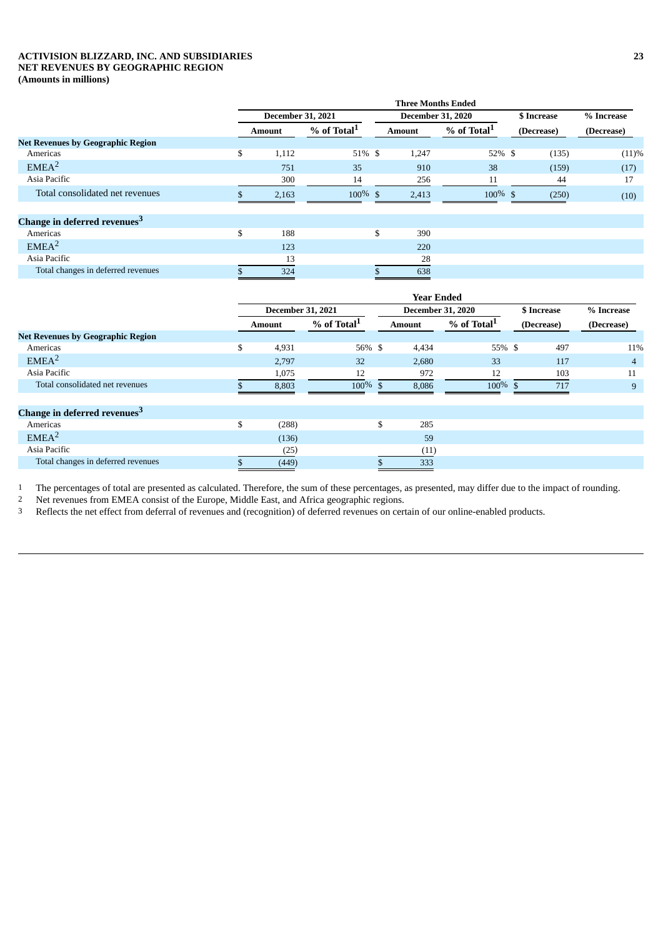# **ACTIVISION BLIZZARD, INC. AND SUBSIDIARIES NET REVENUES BY GEOGRAPHIC REGION (Amounts in millions)**

|                                          | <b>Three Months Ended</b> |                          |                         |                          |                         |             |            |  |  |  |  |  |  |
|------------------------------------------|---------------------------|--------------------------|-------------------------|--------------------------|-------------------------|-------------|------------|--|--|--|--|--|--|
|                                          |                           | <b>December 31, 2021</b> |                         | <b>December 31, 2020</b> |                         | \$ Increase | % Increase |  |  |  |  |  |  |
|                                          |                           | Amount                   | % of Total <sup>1</sup> | Amount                   | % of Total <sup>1</sup> | (Decrease)  | (Decrease) |  |  |  |  |  |  |
| <b>Net Revenues by Geographic Region</b> |                           |                          |                         |                          |                         |             |            |  |  |  |  |  |  |
| Americas                                 | \$                        | 1,112                    | 51% \$                  | 1,247                    | 52% \$                  | (135)       | (11)%      |  |  |  |  |  |  |
| EMEA <sup>2</sup>                        |                           | 751                      | 35                      | 910                      | 38                      | (159)       | (17)       |  |  |  |  |  |  |
| Asia Pacific                             |                           | 300                      | 14                      | 256                      | 11                      | 44          | 17         |  |  |  |  |  |  |
| Total consolidated net revenues          |                           | 2,163                    | $100\%$ \$              | 2,413                    | $100\%$ \$              | (250)       | (10)       |  |  |  |  |  |  |
| Change in deferred revenues <sup>3</sup> |                           |                          |                         |                          |                         |             |            |  |  |  |  |  |  |
| Americas                                 | \$                        | 188                      | \$                      | 390                      |                         |             |            |  |  |  |  |  |  |
| EMEA <sup>2</sup>                        |                           | 123                      |                         | 220                      |                         |             |            |  |  |  |  |  |  |
| Asia Pacific                             |                           | 13                       |                         | 28                       |                         |             |            |  |  |  |  |  |  |
| Total changes in deferred revenues       |                           | 324                      |                         | 638                      |                         |             |            |  |  |  |  |  |  |

|                                          | <b>Year Ended</b> |                          |                         |           |                          |             |                |  |  |  |  |  |  |
|------------------------------------------|-------------------|--------------------------|-------------------------|-----------|--------------------------|-------------|----------------|--|--|--|--|--|--|
|                                          |                   | <b>December 31, 2021</b> |                         |           | <b>December 31, 2020</b> | \$ Increase | % Increase     |  |  |  |  |  |  |
|                                          |                   | Amount                   | % of Total <sup>1</sup> | Amount    | % of Total <sup>1</sup>  | (Decrease)  | (Decrease)     |  |  |  |  |  |  |
| <b>Net Revenues by Geographic Region</b> |                   |                          |                         |           |                          |             |                |  |  |  |  |  |  |
| Americas                                 | \$                | 4,931                    | 56% \$                  | 4,434     | 55% \$                   | 497         | 11%            |  |  |  |  |  |  |
| EMEA <sup>2</sup>                        |                   | 2,797                    | 32                      | 2,680     | 33                       | 117         | $\overline{4}$ |  |  |  |  |  |  |
| Asia Pacific                             |                   | 1,075                    | 12                      | 972       | 12                       | 103         | 11             |  |  |  |  |  |  |
| Total consolidated net revenues          |                   | 8,803                    | $100\%$ \$              | 8,086     | $100\%$ \$               | 717         | 9              |  |  |  |  |  |  |
| Change in deferred revenues <sup>3</sup> |                   |                          |                         |           |                          |             |                |  |  |  |  |  |  |
| Americas                                 | \$                | (288)                    |                         | \$<br>285 |                          |             |                |  |  |  |  |  |  |
| EMEA <sup>2</sup>                        |                   | (136)                    |                         | 59        |                          |             |                |  |  |  |  |  |  |
| Asia Pacific                             |                   | (25)                     |                         | (11)      |                          |             |                |  |  |  |  |  |  |
| Total changes in deferred revenues       |                   | (449)                    |                         | 333       |                          |             |                |  |  |  |  |  |  |

1 The percentages of total are presented as calculated. Therefore, the sum of these percentages, as presented, may differ due to the impact of rounding.<br>2 Net revenues from EMEA consist of the Europe, Middle East, and Afri

<sup>2</sup> Net revenues from EMEA consist of the Europe, Middle East, and Africa geographic regions.<br><sup>3</sup> Reflects the net effect from deferral of revenues and (recognition) of deferred revenues on cert

3 Reflects the net effect from deferral of revenues and (recognition) of deferred revenues on certain of our online-enabled products.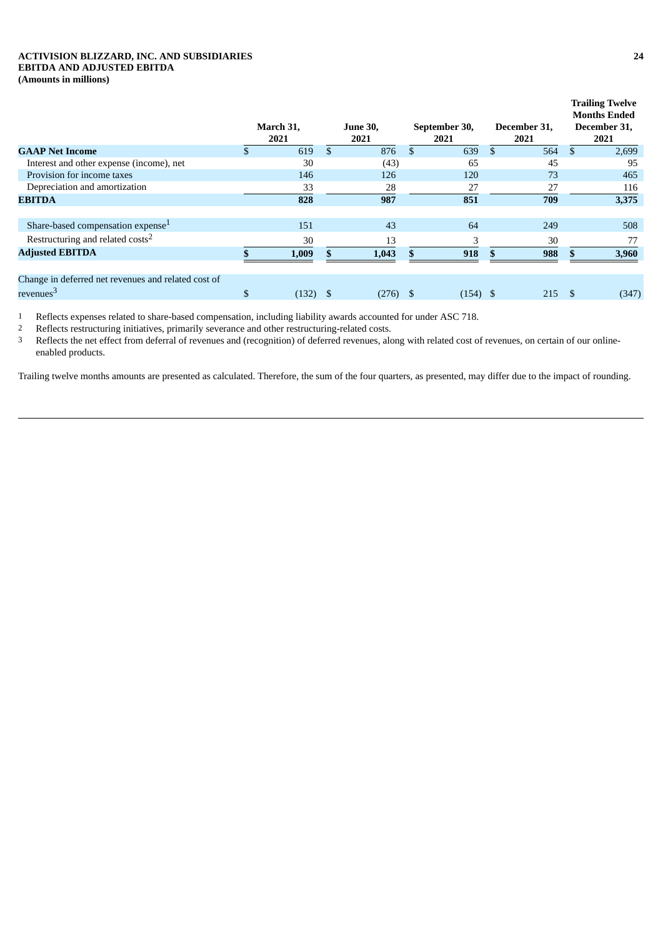# **ACTIVISION BLIZZARD, INC. AND SUBSIDIARIES EBITDA AND ADJUSTED EBITDA (Amounts in millions)**

|                                                                              |    | March 31,<br>2021 |   | <b>June 30,</b><br>2021 | September 30,<br>2021 | December 31,<br>2021 | <b>Trailing Twelve</b><br><b>Months Ended</b><br>December 31,<br>2021 |
|------------------------------------------------------------------------------|----|-------------------|---|-------------------------|-----------------------|----------------------|-----------------------------------------------------------------------|
| <b>GAAP Net Income</b>                                                       | S. | 619               |   | 876                     | 639                   | 564                  | 2,699                                                                 |
| Interest and other expense (income), net                                     |    | 30                |   | (43)                    | 65                    | 45                   | 95                                                                    |
| Provision for income taxes                                                   |    | 146               |   | 126                     | 120                   | 73                   | 465                                                                   |
| Depreciation and amortization                                                |    | 33                |   | 28                      | 27                    | 27                   | 116                                                                   |
| <b>EBITDA</b>                                                                |    | 828               |   | 987                     | 851                   | 709                  | 3,375                                                                 |
| Share-based compensation expense <sup>1</sup>                                |    | 151               |   | 43                      | 64                    | 249                  | 508                                                                   |
| Restructuring and related costs <sup>2</sup>                                 |    | 30                |   | 13                      | 3                     | 30                   | 77                                                                    |
| <b>Adjusted EBITDA</b>                                                       |    | 1,009             |   | 1,043                   | 918                   | 988                  | 3,960                                                                 |
| Change in deferred net revenues and related cost of<br>revenues <sup>3</sup> | \$ | (132)             | S | (276)                   | \$<br>$(154)$ \$      | 215                  | (347)                                                                 |

1 Reflects expenses related to share-based compensation, including liability awards accounted for under ASC 718.<br>2 Reflects restructuring initiatives, primarily severance and other restructuring-related costs.

Reflects restructuring initiatives, primarily severance and other restructuring-related costs.

3 Reflects the net effect from deferral of revenues and (recognition) of deferred revenues, along with related cost of revenues, on certain of our onlineenabled products.

Trailing twelve months amounts are presented as calculated. Therefore, the sum of the four quarters, as presented, may differ due to the impact of rounding.